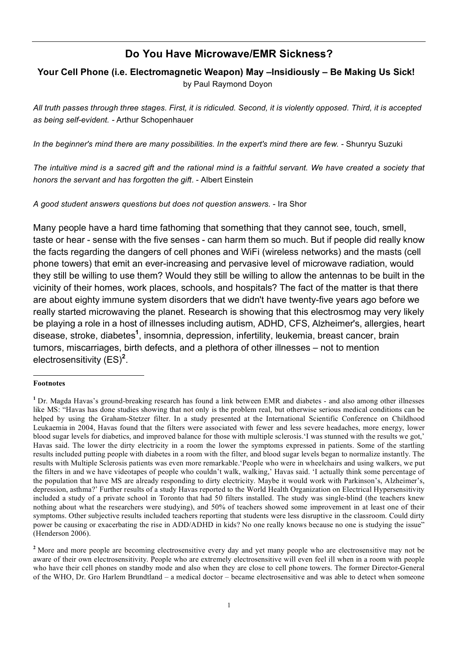# **Do You Have Microwave/EMR Sickness?**

### **Your Cell Phone (i.e. Electromagnetic Weapon) May –Insidiously – Be Making Us Sick!** by Paul Raymond Doyon

All truth passes through three stages. First, it is ridiculed. Second, it is violently opposed. Third, it is accepted *as being self-evident. -* Arthur Schopenhauer

*In the beginner's mind there are many possibilities. In the expert's mind there are few.* - Shunryu Suzuki

The intuitive mind is a sacred gift and the rational mind is a faithful servant. We have created a society that *honors the servant and has forgotten the gift*. - Albert Einstein

*A good student answers questions but does not question answers.* - Ira Shor

Many people have a hard time fathoming that something that they cannot see, touch, smell, taste or hear - sense with the five senses - can harm them so much. But if people did really know the facts regarding the dangers of cell phones and WiFi (wireless networks) and the masts (cell phone towers) that emit an ever-increasing and pervasive level of microwave radiation, would they still be willing to use them? Would they still be willing to allow the antennas to be built in the vicinity of their homes, work places, schools, and hospitals? The fact of the matter is that there are about eighty immune system disorders that we didn't have twenty-five years ago before we really started microwaving the planet. Research is showing that this electrosmog may very likely be playing a role in a host of illnesses including autism, ADHD, CFS, Alzheimer's, allergies, heart disease, stroke, diabetes<sup>1</sup>, insomnia, depression, infertility, leukemia, breast cancer, brain tumors, miscarriages, birth defects, and a plethora of other illnesses – not to mention electrosensitivity (ES) **2** .

#### **Footnotes**

 $\overline{a}$ 

**<sup>1</sup>** Dr. Magda Havas's ground-breaking research has found a link between EMR and diabetes - and also among other illnesses like MS: "Havas has done studies showing that not only is the problem real, but otherwise serious medical conditions can be helped by using the Graham-Stetzer filter. In a study presented at the International Scientific Conference on Childhood Leukaemia in 2004, Havas found that the filters were associated with fewer and less severe headaches, more energy, lower blood sugar levels for diabetics, and improved balance for those with multiple sclerosis.'I was stunned with the results we got,' Havas said. The lower the dirty electricity in a room the lower the symptoms expressed in patients. Some of the startling results included putting people with diabetes in a room with the filter, and blood sugar levels began to normalize instantly. The results with Multiple Sclerosis patients was even more remarkable.'People who were in wheelchairs and using walkers, we put the filters in and we have videotapes of people who couldn't walk, walking,' Havas said. 'I actually think some percentage of the population that have MS are already responding to dirty electricity. Maybe it would work with Parkinson's, Alzheimer's, depression, asthma?' Further results of a study Havas reported to the World Health Organization on Electrical Hypersensitivity included a study of a private school in Toronto that had 50 filters installed. The study was single-blind (the teachers knew nothing about what the researchers were studying), and 50% of teachers showed some improvement in at least one of their symptoms. Other subjective results included teachers reporting that students were less disruptive in the classroom. Could dirty power be causing or exacerbating the rise in ADD/ADHD in kids? No one really knows because no one is studying the issue" (Henderson 2006).

<sup>&</sup>lt;sup>2</sup> More and more people are becoming electrosensitive every day and yet many people who are electrosensitive may not be aware of their own electrosensitivity. People who are extremely electrosensitive will even feel ill when in a room with people who have their cell phones on standby mode and also when they are close to cell phone towers. The former Director-General of the WHO, Dr. Gro Harlem Brundtland – a medical doctor – became electrosensitive and was able to detect when someone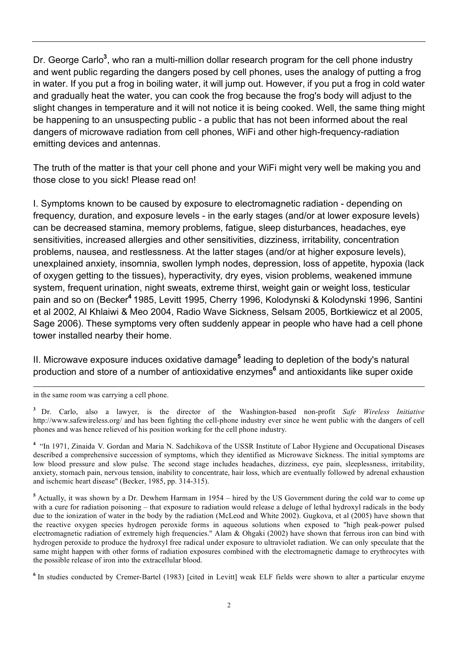Dr. George Carlo<sup>3</sup>, who ran a multi-million dollar research program for the cell phone industry and went public regarding the dangers posed by cell phones, uses the analogy of putting a frog in water. If you put a frog in boiling water, it will jump out. However, if you put a frog in cold water and gradually heat the water, you can cook the frog because the frog's body will adjust to the slight changes in temperature and it will not notice it is being cooked. Well, the same thing might be happening to an unsuspecting public - a public that has not been informed about the real dangers of microwave radiation from cell phones, WiFi and other high-frequency-radiation emitting devices and antennas.

The truth of the matter is that your cell phone and your WiFi might very well be making you and those close to you sick! Please read on!

I. Symptoms known to be caused by exposure to electromagnetic radiation - depending on frequency, duration, and exposure levels - in the early stages (and/or at lower exposure levels) can be decreased stamina, memory problems, fatigue, sleep disturbances, headaches, eye sensitivities, increased allergies and other sensitivities, dizziness, irritability, concentration problems, nausea, and restlessness. At the latter stages (and/or at higher exposure levels), unexplained anxiety, insomnia, swollen lymph nodes, depression, loss of appetite, hypoxia (lack of oxygen getting to the tissues), hyperactivity, dry eyes, vision problems, weakened immune system, frequent urination, night sweats, extreme thirst, weight gain or weight loss, testicular pain and so on (Becker **<sup>4</sup>** 1985, Levitt 1995, Cherry 1996, Kolodynski & Kolodynski 1996, Santini et al 2002, Al Khlaiwi & Meo 2004, Radio Wave Sickness, Selsam 2005, Bortkiewicz et al 2005, Sage 2006). These symptoms very often suddenly appear in people who have had a cell phone tower installed nearby their home.

II. Microwave exposure induces oxidative damage**<sup>5</sup>** leading to depletion of the body's natural production and store of a number of antioxidative enzymes**<sup>6</sup>** and antioxidants like super oxide

in the same room was carrying a cell phone.

 $\overline{a}$ 

**<sup>4</sup>** "In 1971, Zinaida V. Gordan and Maria N. Sadchikova of the USSR Institute of Labor Hygiene and Occupational Diseases described a comprehensive succession of symptoms, which they identified as Microwave Sickness. The initial symptoms are low blood pressure and slow pulse. The second stage includes headaches, dizziness, eye pain, sleeplessness, irritability, anxiety, stomach pain, nervous tension, inability to concentrate, hair loss, which are eventually followed by adrenal exhaustion and ischemic heart disease" (Becker, 1985, pp. 314-315).

**<sup>5</sup>** Actually, it was shown by a Dr. Dewhem Harmam in 1954 – hired by the US Government during the cold war to come up with a cure for radiation poisoning – that exposure to radiation would release a deluge of lethal hydroxyl radicals in the body due to the ionization of water in the body by the radiation (McLeod and White 2002). Gugkova, et al (2005) have shown that the reactive oxygen species hydrogen peroxide forms in aqueous solutions when exposed to "high peak-power pulsed electromagnetic radiation of extremely high frequencies." Alam & Ohgaki (2002) have shown that ferrous iron can bind with hydrogen peroxide to produce the hydroxyl free radical under exposure to ultraviolet radiation. We can only speculate that the same might happen with other forms of radiation exposures combined with the electromagnetic damage to erythrocytes with the possible release of iron into the extracellular blood.

<sup>6</sup> In studies conducted by Cremer-Bartel (1983) [cited in Levitt] weak ELF fields were shown to alter a particular enzyme

**<sup>3</sup>** Dr. Carlo, also a lawyer, is the director of the Washington-based non-profit *Safe Wireless Initiative* http://www.safewireless.org/ and has been fighting the cell-phone industry ever since he went public with the dangers of cell phones and was hence relieved of his position working for the cell phone industry.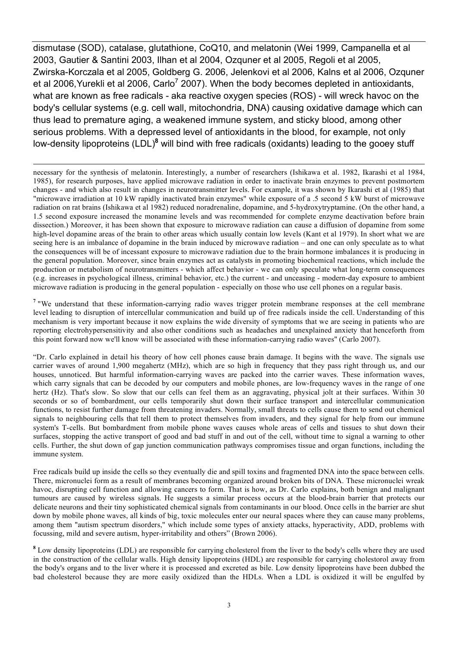dismutase (SOD), catalase, glutathione, CoQ10, and melatonin (Wei 1999, Campanella et al 2003, Gautier & Santini 2003, Ilhan et al 2004, Ozquner et al 2005, Regoli et al 2005, Zwirska-Korczala et al 2005, Goldberg G. 2006, Jelenkovi et al 2006, Kalns et al 2006, Ozquner et al 2006, Yurekli et al 2006, Carlo<sup>7</sup> 2007). When the body becomes depleted in antioxidants, what are known as free radicals - aka reactive oxygen species (ROS) - will wreck havoc on the body's cellular systems (e.g. cell wall, mitochondria, DNA) causing oxidative damage which can thus lead to premature aging, a weakened immune system, and sticky blood, among other serious problems. With a depressed level of antioxidants in the blood, for example, not only low-density lipoproteins (LDL) **<sup>8</sup>** will bind with free radicals (oxidants) leading to the gooey stuff

 $\overline{a}$ 

necessary for the synthesis of melatonin. Interestingly, a number of researchers (Ishikawa et al. 1982, Ikarashi et al 1984, 1985), for research purposes, have applied microwave radiation in order to inactivate brain enzymes to prevent postmortem changes - and which also result in changes in neurotransmitter levels. For example, it was shown by Ikarashi et al (1985) that "microwave irradiation at 10 kW rapidly inactivated brain enzymes" while exposure of a .5 second 5 kW burst of microwave radiation on rat brains (Ishikawa et al 1982) reduced noradrenaline, dopamine, and 5-hydroxytryptamine. (On the other hand, a 1.5 second exposure increased the monamine levels and was recommended for complete enzyme deactivation before brain dissection.) Moreover, it has been shown that exposure to microwave radiation can cause a diffusion of dopamine from some high-level dopamine areas of the brain to other areas which usually contain low levels (Kant et al 1979). In short what we are seeing here is an imbalance of dopamine in the brain induced by microwave radiation – and one can only speculate as to what the consequences will be of incessant exposure to microwave radiation due to the brain hormone imbalances it is producing in the general population. Moreover, since brain enzymes act as catalysts in promoting biochemical reactions, which include the production or metabolism of neurotransmitters - which affect behavior - we can only speculate what long-term consequences (e.g. increases in psychological illness, criminal behavior, etc.) the current - and unceasing - modern-day exposure to ambient microwave radiation is producing in the general population - especially on those who use cell phones on a regular basis.

<sup>7</sup> "We understand that these information-carrying radio waves trigger protein membrane responses at the cell membrane level leading to disruption of intercellular communication and build up of free radicals inside the cell. Understanding of this mechanism is very important because it now explains the wide diversity of symptoms that we are seeing in patients who are reporting electrohypersensitivity and also other conditions such as headaches and unexplained anxiety that henceforth from this point forward now we'll know will be associated with these information-carrying radio waves" (Carlo 2007).

"Dr. Carlo explained in detail his theory of how cell phones cause brain damage. It begins with the wave. The signals use carrier waves of around 1,900 megahertz (MHz), which are so high in frequency that they pass right through us, and our houses, unnoticed. But harmful information-carrying waves are packed into the carrier waves. These information waves, which carry signals that can be decoded by our computers and mobile phones, are low-frequency waves in the range of one hertz (Hz). That's slow. So slow that our cells can feel them as an aggravating, physical jolt at their surfaces. Within 30 seconds or so of bombardment, our cells temporarily shut down their surface transport and intercellular communication functions, to resist further damage from threatening invaders. Normally, small threats to cells cause them to send out chemical signals to neighbouring cells that tell them to protect themselves from invaders, and they signal for help from our immune system's T-cells. But bombardment from mobile phone waves causes whole areas of cells and tissues to shut down their surfaces, stopping the active transport of good and bad stuff in and out of the cell, without time to signal a warning to other cells. Further, the shut down of gap junction communication pathways compromises tissue and organ functions, including the immune system.

Free radicals build up inside the cells so they eventually die and spill toxins and fragmented DNA into the space between cells. There, micronuclei form as a result of membranes becoming organized around broken bits of DNA. These micronuclei wreak havoc, disrupting cell function and allowing cancers to form. That is how, as Dr. Carlo explains, both benign and malignant tumours are caused by wireless signals. He suggests a similar process occurs at the blood-brain barrier that protects our delicate neurons and their tiny sophisticated chemical signals from contaminants in our blood. Once cells in the barrier are shut down by mobile phone waves, all kinds of big, toxic molecules enter our neural spaces where they can cause many problems, among them "autism spectrum disorders," which include some types of anxiety attacks, hyperactivity, ADD, problems with focussing, mild and severe autism, hyper-irritability and others" (Brown 2006).

**<sup>8</sup>** Low density lipoproteins (LDL) are responsible for carrying cholesterol from the liver to the body's cells where they are used in the construction of the cellular walls. High density lipoproteins (HDL) are responsible for carrying cholestorol away from the body's organs and to the liver where it is processed and excreted as bile. Low density lipoproteins have been dubbed the bad cholesterol because they are more easily oxidized than the HDLs. When a LDL is oxidized it will be engulfed by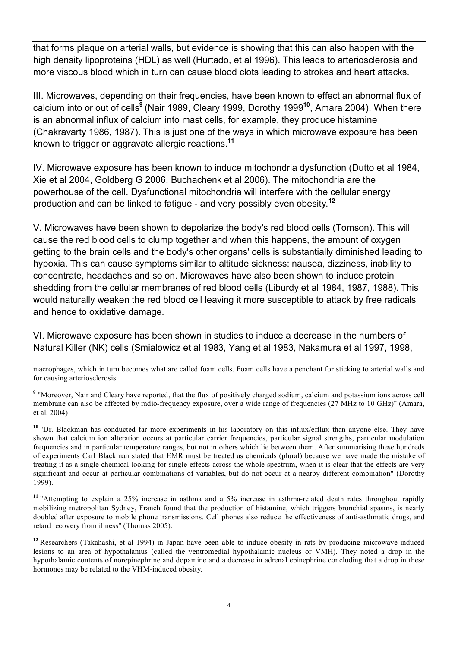that forms plaque on arterial walls, but evidence is showing that this can also happen with the high density lipoproteins (HDL) as well (Hurtado, et al 1996). This leads to arteriosclerosis and more viscous blood which in turn can cause blood clots leading to strokes and heart attacks.

III. Microwaves, depending on their frequencies, have been known to effect an abnormal flux of calcium into or out of cells**<sup>9</sup>** (Nair 1989, Cleary 1999, Dorothy 1999**<sup>10</sup>** , Amara 2004). When there is an abnormal influx of calcium into mast cells, for example, they produce histamine (Chakravarty 1986, 1987). This is just one of the ways in which microwave exposure has been known to trigger or aggravate allergic reactions.**<sup>11</sup>**

IV. Microwave exposure has been known to induce mitochondria dysfunction (Dutto et al 1984, Xie et al 2004, Goldberg G 2006, Buchachenk et al 2006). The mitochondria are the powerhouse of the cell. Dysfunctional mitochondria will interfere with the cellular energy production and can be linked to fatigue - and very possibly even obesity. **12**

V. Microwaves have been shown to depolarize the body's red blood cells (Tomson). This will cause the red blood cells to clump together and when this happens, the amount of oxygen getting to the brain cells and the body's other organs' cells is substantially diminished leading to hypoxia. This can cause symptoms similar to altitude sickness: nausea, dizziness, inability to concentrate, headaches and so on. Microwaves have also been shown to induce protein shedding from the cellular membranes of red blood cells (Liburdy et al 1984, 1987, 1988). This would naturally weaken the red blood cell leaving it more susceptible to attack by free radicals and hence to oxidative damage.

VI. Microwave exposure has been shown in studies to induce a decrease in the numbers of Natural Killer (NK) cells (Smialowicz et al 1983, Yang et al 1983, Nakamura et al 1997, 1998,

 $\overline{a}$ 

macrophages, which in turn becomes what are called foam cells. Foam cells have a penchant for sticking to arterial walls and for causing arteriosclerosis.

**<sup>9</sup>** "Moreover, Nair and Cleary have reported, that the flux of positively charged sodium, calcium and potassium ions across cell membrane can also be affected by radio-frequency exposure, over a wide range of frequencies (27 MHz to 10 GHz)" (Amara, et al, 2004)

<sup>10</sup> "Dr. Blackman has conducted far more experiments in his laboratory on this influx/efflux than anyone else. They have shown that calcium ion alteration occurs at particular carrier frequencies, particular signal strengths, particular modulation frequencies and in particular temperature ranges, but not in others which lie between them. After summarising these hundreds of experiments Carl Blackman stated that EMR must be treated as chemicals (plural) because we have made the mistake of treating it as a single chemical looking for single effects across the whole spectrum, when it is clear that the effects are very significant and occur at particular combinations of variables, but do not occur at a nearby different combination" (Dorothy 1999).

<sup>11</sup> "Attempting to explain a 25% increase in asthma and a 5% increase in asthma-related death rates throughout rapidly mobilizing metropolitan Sydney, Franch found that the production of histamine, which triggers bronchial spasms, is nearly doubled after exposure to mobile phone transmissions. Cell phones also reduce the effectiveness of anti-asthmatic drugs, and retard recovery from illness" (Thomas 2005).

<sup>12</sup> Researchers (Takahashi, et al 1994) in Japan have been able to induce obesity in rats by producing microwave-induced lesions to an area of hypothalamus (called the ventromedial hypothalamic nucleus or VMH). They noted a drop in the hypothalamic contents of norepinephrine and dopamine and a decrease in adrenal epinephrine concluding that a drop in these hormones may be related to the VHM-induced obesity.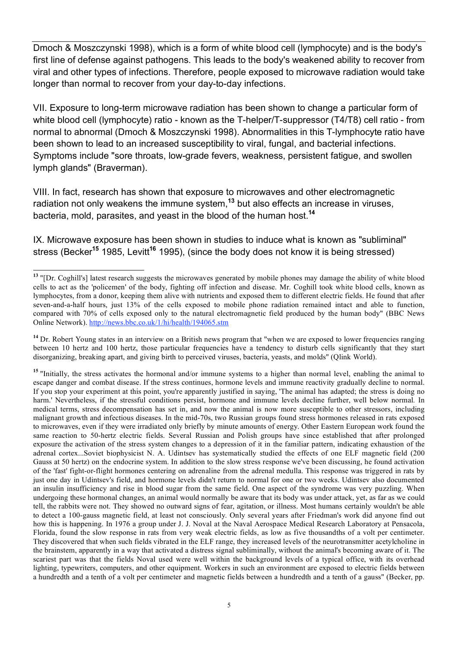Dmoch & Moszczynski 1998), which is a form of white blood cell (lymphocyte) and is the body's first line of defense against pathogens. This leads to the body's weakened ability to recover from viral and other types of infections. Therefore, people exposed to microwave radiation would take longer than normal to recover from your day-to-day infections.

VII. Exposure to long-term microwave radiation has been shown to change a particular form of white blood cell (lymphocyte) ratio - known as the T-helper/T-suppressor (T4/T8) cell ratio - from normal to abnormal (Dmoch & Moszczynski 1998). Abnormalities in this T-lymphocyte ratio have been shown to lead to an increased susceptibility to viral, fungal, and bacterial infections. Symptoms include "sore throats, low-grade fevers, weakness, persistent fatigue, and swollen lymph glands" (Braverman).

VIII. In fact, research has shown that exposure to microwaves and other electromagnetic radiation not only weakens the immune system, **<sup>13</sup>** but also effects an increase in viruses, bacteria, mold, parasites, and yeast in the blood of the human host. **14**

IX. Microwave exposure has been shown in studies to induce what is known as "subliminal" stress (Becker **<sup>15</sup>** 1985, Levitt **<sup>16</sup>** 1995), (since the body does not know it is being stressed)

<sup>&</sup>lt;sup>13</sup> "[Dr. Coghill's] latest research suggests the microwaves generated by mobile phones may damage the ability of white blood cells to act as the 'policemen' of the body, fighting off infection and disease. Mr. Coghill took white blood cells, known as lymphocytes, from a donor, keeping them alive with nutrients and exposed them to different electric fields. He found that after seven-and-a-half hours, just 13% of the cells exposed to mobile phone radiation remained intact and able to function, compared with 70% of cells exposed only to the natural electromagnetic field produced by the human body" (BBC News Online Network). http://news.bbc.co.uk/1/hi/health/194065.stm

<sup>&</sup>lt;sup>14</sup> Dr. Robert Young states in an interview on a British news program that "when we are exposed to lower frequencies ranging between 10 hertz and 100 hertz, those particular frequencies have a tendency to disturb cells significantly that they start disorganizing, breaking apart, and giving birth to perceived viruses, bacteria, yeasts, and molds" (Qlink World).

<sup>&</sup>lt;sup>15</sup> "Initially, the stress activates the hormonal and/or immune systems to a higher than normal level, enabling the animal to escape danger and combat disease. If the stress continues, hormone levels and immune reactivity gradually decline to normal. If you stop your experiment at this point, you're apparently justified in saying, 'The animal has adapted; the stress is doing no harm.' Nevertheless, if the stressful conditions persist, hormone and immune levels decline further, well below normal. In medical terms, stress decompensation has set in, and now the animal is now more susceptible to other stressors, including malignant growth and infectious diseases. In the mid-70s, two Russian groups found stress hormones released in rats exposed to microwaves, even if they were irradiated only briefly by minute amounts of energy. Other Eastern European work found the same reaction to 50-hertz electric fields. Several Russian and Polish groups have since established that after prolonged exposure the activation of the stress system changes to a depression of it in the familiar pattern, indicating exhaustion of the adrenal cortex...Soviet biophysicist N. A. Udintsev has systematically studied the effects of one ELF magnetic field (200 Gauss at 50 hertz) on the endocrine system. In addition to the slow stress response we've been discussing, he found activation of the 'fast' fight-or-flight hormones centering on adrenaline from the adrenal medulla. This response was triggered in rats by just one day in Udintsev's field, and hormone levels didn't return to normal for one or two weeks. Udintsev also documented an insulin insufficiency and rise in blood sugar from the same field. One aspect of the syndrome was very puzzling. When undergoing these hormonal changes, an animal would normally be aware that its body was under attack, yet, as far as we could tell, the rabbits were not. They showed no outward signs of fear, agitation, or illness. Most humans certainly wouldn't be able to detect a 100-gauss magnetic field, at least not consciously. Only several years after Friedman's work did anyone find out how this is happening. In 1976 a group under J. J. Noval at the Naval Aerospace Medical Research Laboratory at Pensacola, Florida, found the slow response in rats from very weak electric fields, as low as five thousandths of a volt per centimeter. They discovered that when such fields vibrated in the ELF range, they increased levels of the neurotransmitter acetylcholine in the brainstem, apparently in a way that activated a distress signal subliminally, without the animal's becoming aware of it. The scariest part was that the fields Noval used were well within the background levels of a typical office, with its overhead lighting, typewriters, computers, and other equipment. Workers in such an environment are exposed to electric fields between a hundredth and a tenth of a volt per centimeter and magnetic fields between a hundredth and a tenth of a gauss" (Becker, pp.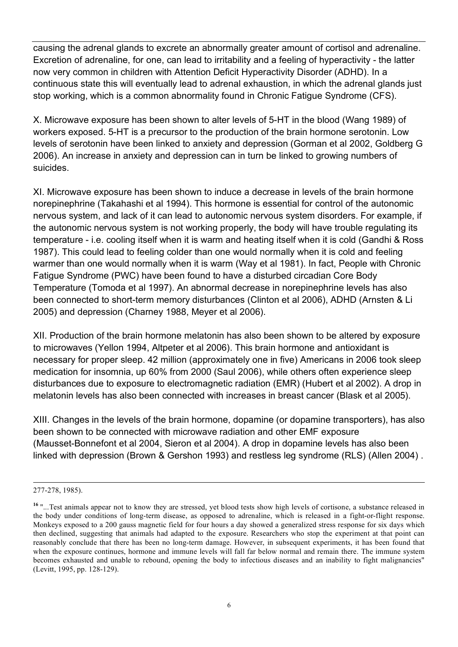causing the adrenal glands to excrete an abnormally greater amount of cortisol and adrenaline. Excretion of adrenaline, for one, can lead to irritability and a feeling of hyperactivity - the latter now very common in children with Attention Deficit Hyperactivity Disorder (ADHD). In a continuous state this will eventually lead to adrenal exhaustion, in which the adrenal glands just stop working, which is a common abnormality found in Chronic Fatigue Syndrome (CFS).

X. Microwave exposure has been shown to alter levels of 5-HT in the blood (Wang 1989) of workers exposed. 5-HT is a precursor to the production of the brain hormone serotonin. Low levels of serotonin have been linked to anxiety and depression (Gorman et al 2002, Goldberg G 2006). An increase in anxiety and depression can in turn be linked to growing numbers of suicides.

XI. Microwave exposure has been shown to induce a decrease in levels of the brain hormone norepinephrine (Takahashi et al 1994). This hormone is essential for control of the autonomic nervous system, and lack of it can lead to autonomic nervous system disorders. For example, if the autonomic nervous system is not working properly, the body will have trouble regulating its temperature - i.e. cooling itself when it is warm and heating itself when it is cold (Gandhi & Ross 1987). This could lead to feeling colder than one would normally when it is cold and feeling warmer than one would normally when it is warm (Way et al 1981). In fact, People with Chronic Fatigue Syndrome (PWC) have been found to have a disturbed circadian Core Body Temperature (Tomoda et al 1997). An abnormal decrease in norepinephrine levels has also been connected to short-term memory disturbances (Clinton et al 2006), ADHD (Arnsten & Li 2005) and depression (Charney 1988, Meyer et al 2006).

XII. Production of the brain hormone melatonin has also been shown to be altered by exposure to microwaves (Yellon 1994, Altpeter et al 2006). This brain hormone and antioxidant is necessary for proper sleep. 42 million (approximately one in five) Americans in 2006 took sleep medication for insomnia, up 60% from 2000 (Saul 2006), while others often experience sleep disturbances due to exposure to electromagnetic radiation (EMR) (Hubert et al 2002). A drop in melatonin levels has also been connected with increases in breast cancer (Blask et al 2005).

XIII. Changes in the levels of the brain hormone, dopamine (or dopamine transporters), has also been shown to be connected with microwave radiation and other EMF exposure (Mausset-Bonnefont et al 2004, Sieron et al 2004). A drop in dopamine levels has also been linked with depression (Brown & Gershon 1993) and restless leg syndrome (RLS) (Allen 2004) .

 $\overline{a}$ 277-278, 1985).

<sup>&</sup>lt;sup>16</sup> "...Test animals appear not to know they are stressed, yet blood tests show high levels of cortisone, a substance released in the body under conditions of long-term disease, as opposed to adrenaline, which is released in a fight-or-flight response. Monkeys exposed to a 200 gauss magnetic field for four hours a day showed a generalized stress response for six days which then declined, suggesting that animals had adapted to the exposure. Researchers who stop the experiment at that point can reasonably conclude that there has been no long-term damage. However, in subsequent experiments, it has been found that when the exposure continues, hormone and immune levels will fall far below normal and remain there. The immune system becomes exhausted and unable to rebound, opening the body to infectious diseases and an inability to fight malignancies" (Levitt, 1995, pp. 128-129).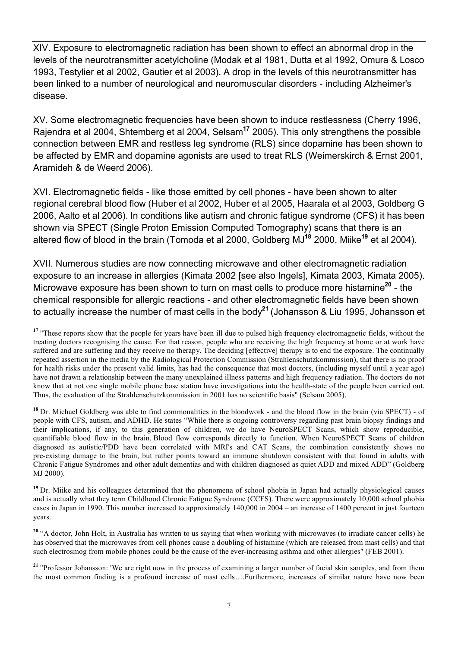XIV. Exposure to electromagnetic radiation has been shown to effect an abnormal drop in the levels of the neurotransmitter acetylcholine (Modak et al 1981, Dutta et al 1992, Omura & Losco 1993, Testylier et al 2002, Gautier et al 2003). A drop in the levels of this neurotransmitter has been linked to a number of neurological and neuromuscular disorders - including Alzheimer's disease.

XV. Some electromagnetic frequencies have been shown to induce restlessness (Cherry 1996, Rajendra et al 2004, Shtemberg et al 2004, Selsam**<sup>17</sup>** 2005). This only strengthens the possible connection between EMR and restless leg syndrome (RLS) since dopamine has been shown to be affected by EMR and dopamine agonists are used to treat RLS (Weimerskirch & Ernst 2001, Aramideh & de Weerd 2006).

XVI. Electromagnetic fields - like those emitted by cell phones - have been shown to alter regional cerebral blood flow (Huber et al 2002, Huber et al 2005, Haarala et al 2003, Goldberg G 2006, Aalto et al 2006). In conditions like autism and chronic fatigue syndrome (CFS) it has been shown via SPECT (Single Proton Emission Computed Tomography) scans that there is an altered flow of blood in the brain (Tomoda et al 2000, Goldberg MJ**<sup>18</sup>** 2000, Miike**<sup>19</sup>** et al 2004).

XVII. Numerous studies are now connecting microwave and other electromagnetic radiation exposure to an increase in allergies (Kimata 2002 [see also Ingels], Kimata 2003, Kimata 2005). Microwave exposure has been shown to turn on mast cells to produce more histamine**<sup>20</sup>** - the chemical responsible for allergic reactions - and other electromagnetic fields have been shown to actually increase the number of mast cells in the body**<sup>21</sup>** (Johansson & Liu 1995, Johansson et

<sup>&</sup>lt;sup>17</sup> "These reports show that the people for years have been ill due to pulsed high frequency electromagnetic fields, without the treating doctors recognising the cause. For that reason, people who are receiving the high frequency at home or at work have suffered and are suffering and they receive no therapy. The deciding [effective] therapy is to end the exposure. The continually repeated assertion in the media by the Radiological Protection Commission (Strahlenschutzkommission), that there is no proof for health risks under the present valid limits, has had the consequence that most doctors, (including myself until a year ago) have not drawn a relationship between the many unexplained illness patterns and high frequency radiation. The doctors do not know that at not one single mobile phone base station have investigations into the health-state of the people been carried out. Thus, the evaluation of the Strahlenschutzkommission in 2001 has no scientific basis" (Selsam 2005).

<sup>&</sup>lt;sup>18</sup> Dr. Michael Goldberg was able to find commonalities in the bloodwork - and the blood flow in the brain (via SPECT) - of people with CFS, autism, and ADHD. He states "While there is ongoing controversy regarding past brain biopsy findings and their implications, if any, to this generation of children, we do have NeuroSPECT Scans, which show reproducible, quantifiable blood flow in the brain. Blood flow corresponds directly to function. When NeuroSPECT Scans of children diagnosed as autistic/PDD have been correlated with MRI's and CAT Scans, the combination consistently shows no pre-existing damage to the brain, but rather points toward an immune shutdown consistent with that found in adults with Chronic Fatigue Syndromes and other adult dementias and with children diagnosed as quiet ADD and mixed ADD" (Goldberg MJ 2000).

<sup>&</sup>lt;sup>19</sup> Dr. Miike and his colleagues determined that the phenomena of school phobia in Japan had actually physiological causes and is actually what they term Childhood Chronic Fatigue Syndrome (CCFS). There were approximately 10,000 school phobia cases in Japan in 1990. This number increased to approximately 140,000 in 2004 – an increase of 1400 percent in just fourteen years.

<sup>&</sup>lt;sup>20</sup> "A doctor, John Holt, in Australia has written to us saying that when working with microwaves (to irradiate cancer cells) he has observed that the microwaves from cell phones cause a doubling of histamine (which are released from mast cells) and that such electrosmog from mobile phones could be the cause of the ever-increasing asthma and other allergies" (FEB 2001).

<sup>&</sup>lt;sup>21</sup> "Professor Johansson: 'We are right now in the process of examining a larger number of facial skin samples, and from them the most common finding is a profound increase of mast cells….Furthermore, increases of similar nature have now been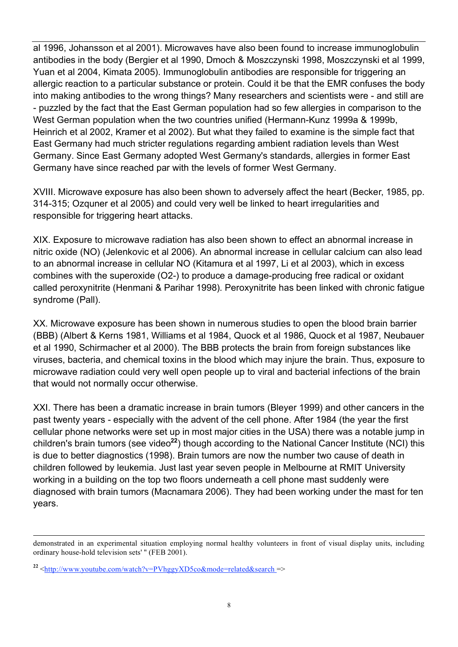al 1996, Johansson et al 2001). Microwaves have also been found to increase immunoglobulin antibodies in the body (Bergier et al 1990, Dmoch & Moszczynski 1998, Moszczynski et al 1999, Yuan et al 2004, Kimata 2005). Immunoglobulin antibodies are responsible for triggering an allergic reaction to a particular substance or protein. Could it be that the EMR confuses the body into making antibodies to the wrong things? Many researchers and scientists were - and still are - puzzled by the fact that the East German population had so few allergies in comparison to the West German population when the two countries unified (Hermann-Kunz 1999a & 1999b, Heinrich et al 2002, Kramer et al 2002). But what they failed to examine is the simple fact that East Germany had much stricter regulations regarding ambient radiation levels than West Germany. Since East Germany adopted West Germany's standards, allergies in former East Germany have since reached par with the levels of former West Germany.

XVIII. Microwave exposure has also been shown to adversely affect the heart (Becker, 1985, pp. 314-315; Ozquner et al 2005) and could very well be linked to heart irregularities and responsible for triggering heart attacks.

XIX. Exposure to microwave radiation has also been shown to effect an abnormal increase in nitric oxide (NO) (Jelenkovic et al 2006). An abnormal increase in cellular calcium can also lead to an abnormal increase in cellular NO (Kitamura et al 1997, Li et al 2003), which in excess combines with the superoxide (O2-) to produce a damage-producing free radical or oxidant called peroxynitrite (Henmani & Parihar 1998). Peroxynitrite has been linked with chronic fatigue syndrome (Pall).

XX. Microwave exposure has been shown in numerous studies to open the blood brain barrier (BBB) (Albert & Kerns 1981, Williams et al 1984, Quock et al 1986, Quock et al 1987, Neubauer et al 1990, Schirmacher et al 2000). The BBB protects the brain from foreign substances like viruses, bacteria, and chemical toxins in the blood which may injure the brain. Thus, exposure to microwave radiation could very well open people up to viral and bacterial infections of the brain that would not normally occur otherwise.

XXI. There has been a dramatic increase in brain tumors (Bleyer 1999) and other cancers in the past twenty years - especially with the advent of the cell phone. After 1984 (the year the first cellular phone networks were set up in most major cities in the USA) there was a notable jump in children's brain tumors (see video<sup>22</sup>) though according to the National Cancer Institute (NCI) this is due to better diagnostics (1998). Brain tumors are now the number two cause of death in children followed by leukemia. Just last year seven people in Melbourne at RMIT University working in a building on the top two floors underneath a cell phone mast suddenly were diagnosed with brain tumors (Macnamara 2006). They had been working under the mast for ten years.

 $\overline{a}$ 

demonstrated in an experimental situation employing normal healthy volunteers in front of visual display units, including ordinary house-hold television sets' " (FEB 2001).

 $22$  <http://www.youtube.com/watch?v=PVhggyXD5co&mode=related&search =>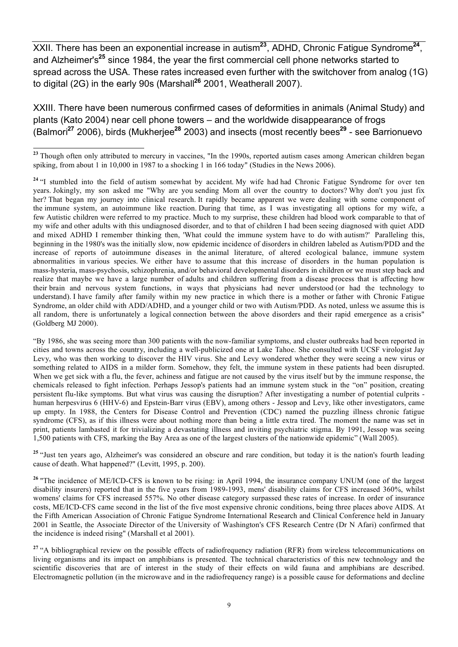XXII. There has been an exponential increase in autism**<sup>23</sup>** , ADHD, Chronic Fatigue Syndrome**<sup>24</sup>** , and Alzheimer's**<sup>25</sup>** since 1984, the year the first commercial cell phone networks started to spread across the USA. These rates increased even further with the switchover from analog (1G) to digital (2G) in the early 90s (Marshall **<sup>26</sup>** 2001, Weatherall 2007).

XXIII. There have been numerous confirmed cases of deformities in animals (Animal Study) and plants (Kato 2004) near cell phone towers – and the worldwide disappearance of frogs (Balmori **<sup>27</sup>** 2006), birds (Mukherjee**<sup>28</sup>** 2003) and insects (most recently bees**<sup>29</sup>** - see Barrionuevo

"By 1986, she was seeing more than 300 patients with the now-familiar symptoms, and cluster outbreaks had been reported in cities and towns across the country, including a well-publicized one at Lake Tahoe. She consulted with UCSF virologist Jay Levy, who was then working to discover the HIV virus. She and Levy wondered whether they were seeing a new virus or something related to AIDS in a milder form. Somehow, they felt, the immune system in these patients had been disrupted. When we get sick with a flu, the fever, achiness and fatigue are not caused by the virus itself but by the immune response, the chemicals released to fight infection. Perhaps Jessop's patients had an immune system stuck in the "on" position, creating persistent flu-like symptoms. But what virus was causing the disruption? After investigating a number of potential culprits human herpesvirus 6 (HHV-6) and Epstein-Barr virus (EBV), among others - Jessop and Levy, like other investigators, came up empty. In 1988, the Centers for Disease Control and Prevention (CDC) named the puzzling illness chronic fatigue syndrome (CFS), as if this illness were about nothing more than being a little extra tired. The moment the name was set in print, patients lambasted it for trivializing a devastating illness and inviting psychiatric stigma. By 1991, Jessop was seeing 1,500 patients with CFS, marking the Bay Area as one of the largest clusters of the nationwide epidemic" (Wall 2005).

**<sup>25</sup>** "Just ten years ago, Alzheimer's was considered an obscure and rare condition, but today it is the nation's fourth leading cause of death. What happened?" (Levitt, 1995, p. 200).

<sup>26</sup> "The incidence of ME/ICD-CFS is known to be rising: in April 1994, the insurance company UNUM (one of the largest disability insurers) reported that in the five years from 1989-1993, mens' disability claims for CFS increased 360%, whilst womens' claims for CFS increased 557%. No other disease category surpassed these rates of increase. In order of insurance costs, ME/ICD-CFS came second in the list of the five most expensive chronic conditions, being three places above AIDS. At the Fifth American Association of Chronic Fatigue Syndrome International Research and Clinical Conference held in January 2001 in Seattle, the Associate Director of the University of Washington's CFS Research Centre (Dr N Afari) confirmed that the incidence is indeed rising" (Marshall et al 2001).

<sup>27</sup> "A bibliographical review on the possible effects of radiofrequency radiation (RFR) from wireless telecommunications on living organisms and its impact on amphibians is presented. The technical characteristics of this new technology and the scientific discoveries that are of interest in the study of their effects on wild fauna and amphibians are described. Electromagnetic pollution (in the microwave and in the radiofrequency range) is a possible cause for deformations and decline

<sup>&</sup>lt;sup>23</sup> Though often only attributed to mercury in vaccines, "In the 1990s, reported autism cases among American children began spiking, from about 1 in 10,000 in 1987 to a shocking 1 in 166 today" (Studies in the News 2006).

<sup>&</sup>lt;sup>24</sup> "I stumbled into the field of autism somewhat by accident. My wife had had Chronic Fatigue Syndrome for over ten years. Jokingly, my son asked me "Why are you sending Mom all over the country to doctors? Why don't you just fix her? That began my journey into clinical research. It rapidly became apparent we were dealing with some component of the immune system, an autoimmune like reaction. During that time, as I was investigating all options for my wife, a few Autistic children were referred to my practice. Much to my surprise, these children had blood work comparable to that of my wife and other adults with this undiagnosed disorder, and to that of children I had been seeing diagnosed with quiet ADD and mixed ADHD I remember thinking then, 'What could the immune system have to do with autism?' Paralleling this, beginning in the 1980's was the initially slow, now epidemic incidence of disorders in children labeled as Autism/PDD and the increase of reports of autoimmune diseases in the animal literature, of altered ecological balance, immune system abnormalities in various species. We either have to assume that this increase of disorders in the human population is mass-hysteria, mass-psychosis, schizophrenia, and/or behavioral developmental disorders in children or we must step back and realize that maybe we have a large number of adults and children suffering from a disease process that is affecting how their brain and nervous system functions, in ways that physicians had never understood (or had the technology to understand). I have family after family within my new practice in which there is a mother or father with Chronic Fatigue Syndrome, an older child with ADD/ADHD, and a younger child or two with Autism/PDD. As noted, unless we assume this is all random, there is unfortunately a logical connection between the above disorders and their rapid emergence as a crisis" (Goldberg MJ 2000).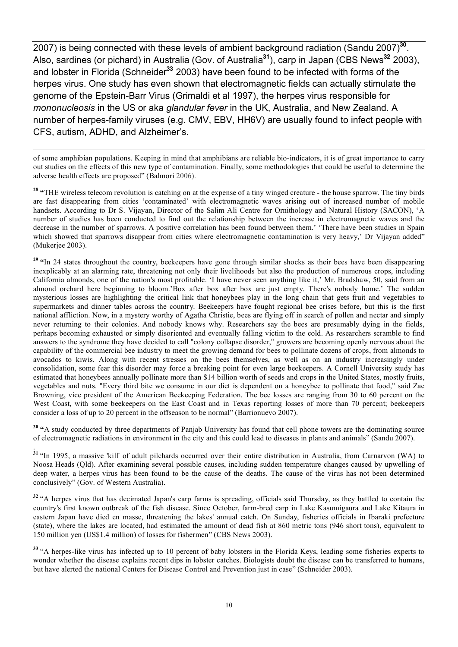2007) is being connected with these levels of ambient background radiation (Sandu 2007) **30** . Also, sardines (or pichard) in Australia (Gov. of Australia**<sup>31</sup>** ), carp in Japan (CBS News**<sup>32</sup>** 2003), and lobster in Florida (Schneider **<sup>33</sup>** 2003) have been found to be infected with forms of the herpes virus. One study has even shown that electromagnetic fields can actually stimulate the genome of the Epstein-Barr Virus (Grimaldi et al 1997), the herpes virus responsible for *mononucleosis* in the US or aka *glandular fever* in the UK, Australia, and New Zealand. A number of herpes-family viruses (e.g. CMV, EBV, HH6V) are usually found to infect people with CFS, autism, ADHD, and Alzheimer's.

of some amphibian populations. Keeping in mind that amphibians are reliable bio-indicators, it is of great importance to carry out studies on the effects of this new type of contamination. Finally, some methodologies that could be useful to determine the adverse health effects are proposed" (Balmori 2006).

 $\overline{a}$ 

.

<sup>28</sup> **"THE** wireless telecom revolution is catching on at the expense of a tiny winged creature - the house sparrow. The tiny birds are fast disappearing from cities 'contaminated' with electromagnetic waves arising out of increased number of mobile handsets. According to Dr S. Vijayan, Director of the Salim Ali Centre for Ornithology and Natural History (SACON), 'A number of studies has been conducted to find out the relationship between the increase in electromagnetic waves and the decrease in the number of sparrows. A positive correlation has been found between them.' 'There have been studies in Spain which showed that sparrows disappear from cities where electromagnetic contamination is very heavy,' Dr Vijayan added" (Mukerjee 2003).

<sup>29</sup> "In 24 states throughout the country, beekeepers have gone through similar shocks as their bees have been disappearing inexplicably at an alarming rate, threatening not only their livelihoods but also the production of numerous crops, including California almonds, one of the nation's most profitable. 'I have never seen anything like it,' Mr. Bradshaw, 50, said from an almond orchard here beginning to bloom.'Box after box after box are just empty. There's nobody home.' The sudden mysterious losses are highlighting the critical link that honeybees play in the long chain that gets fruit and vegetables to supermarkets and dinner tables across the country. Beekeepers have fought regional bee crises before, but this is the first national affliction. Now, in a mystery worthy of Agatha Christie, bees are flying off in search of pollen and nectar and simply never returning to their colonies. And nobody knows why. Researchers say the bees are presumably dying in the fields, perhaps becoming exhausted or simply disoriented and eventually falling victim to the cold. As researchers scramble to find answers to the syndrome they have decided to call "colony collapse disorder," growers are becoming openly nervous about the capability of the commercial bee industry to meet the growing demand for bees to pollinate dozens of crops, from almonds to avocados to kiwis. Along with recent stresses on the bees themselves, as well as on an industry increasingly under consolidation, some fear this disorder may force a breaking point for even large beekeepers. A Cornell University study has estimated that honeybees annually pollinate more than \$14 billion worth of seeds and crops in the United States, mostly fruits, vegetables and nuts. "Every third bite we consume in our diet is dependent on a honeybee to pollinate that food," said Zac Browning, vice president of the American Beekeeping Federation. The bee losses are ranging from 30 to 60 percent on the West Coast, with some beekeepers on the East Coast and in Texas reporting losses of more than 70 percent; beekeepers consider a loss of up to 20 percent in the offseason to be normal" (Barrionuevo 2007).

**<sup>30</sup> "**A study conducted by three departments of Panjab University has found that cell phone towers are the dominating source of electromagnetic radiations in environment in the city and this could lead to diseases in plants and animals" (Sandu 2007).

**<sup>31</sup>** "In 1995, a massive 'kill' of adult pilchards occurred over their entire distribution in Australia, from Carnarvon (WA) to Noosa Heads (Qld). After examining several possible causes, including sudden temperature changes caused by upwelling of deep water, a herpes virus has been found to be the cause of the deaths. The cause of the virus has not been determined conclusively" (Gov. of Western Australia).

<sup>32</sup> "A herpes virus that has decimated Japan's carp farms is spreading, officials said Thursday, as they battled to contain the country's first known outbreak of the fish disease. Since October, farm-bred carp in Lake Kasumigaura and Lake Kitaura in eastern Japan have died en masse, threatening the lakes' annual catch. On Sunday, fisheries officials in Ibaraki prefecture (state), where the lakes are located, had estimated the amount of dead fish at 860 metric tons (946 short tons), equivalent to 150 million yen (US\$1.4 million) of losses for fishermen" (CBS News 2003).

<sup>33</sup> "A herpes-like virus has infected up to 10 percent of baby lobsters in the Florida Keys, leading some fisheries experts to wonder whether the disease explains recent dips in lobster catches. Biologists doubt the disease can be transferred to humans, but have alerted the national Centers for Disease Control and Prevention just in case" (Schneider 2003).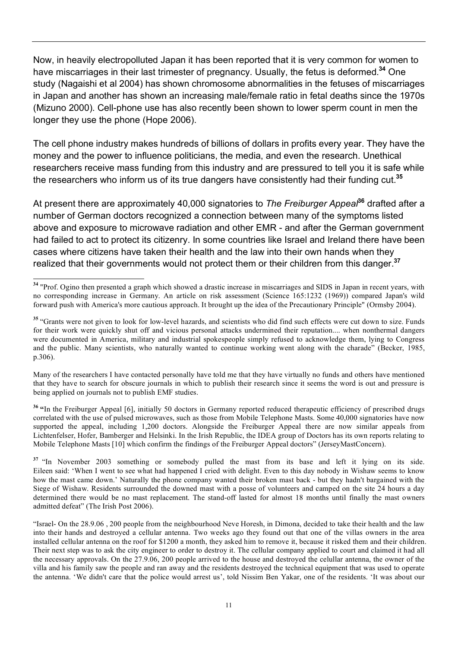Now, in heavily electropolluted Japan it has been reported that it is very common for women to have miscarriages in their last trimester of pregnancy. Usually, the fetus is deformed. **<sup>34</sup>** One study (Nagaishi et al 2004) has shown chromosome abnormalities in the fetuses of miscarriages in Japan and another has shown an increasing male/female ratio in fetal deaths since the 1970s (Mizuno 2000). Cell-phone use has also recently been shown to lower sperm count in men the longer they use the phone (Hope 2006).

The cell phone industry makes hundreds of billions of dollars in profits every year. They have the money and the power to influence politicians, the media, and even the research. Unethical researchers receive mass funding from this industry and are pressured to tell you it is safe while the researchers who inform us of its true dangers have consistently had their funding cut. **35**

At present there are approximately 40,000 signatories to *The Freiburger Appeal* **<sup>36</sup>** drafted after a number of German doctors recognized a connection between many of the symptoms listed above and exposure to microwave radiation and other EMR - and after the German government had failed to act to protect its citizenry. In some countries like Israel and Ireland there have been cases where citizens have taken their health and the law into their own hands when they realized that their governments would not protect them or their children from this danger. **37**

Many of the researchers I have contacted personally have told me that they have virtually no funds and others have mentioned that they have to search for obscure journals in which to publish their research since it seems the word is out and pressure is being applied on journals not to publish EMF studies.

<sup>36</sup> "In the Freiburger Appeal [6], initially 50 doctors in Germany reported reduced therapeutic efficiency of prescribed drugs correlated with the use of pulsed microwaves, such as those from Mobile Telephone Masts. Some 40,000 signatories have now supported the appeal, including 1,200 doctors. Alongside the Freiburger Appeal there are now similar appeals from Lichtenfelser, Hofer, Bamberger and Helsinki. In the Irish Republic, the IDEA group of Doctors has its own reports relating to Mobile Telephone Masts [10] which confirm the findings of the Freiburger Appeal doctors" (JerseyMastConcern).

<sup>37</sup> "In November 2003 something or somebody pulled the mast from its base and left it lying on its side. Eileen said: 'When I went to see what had happened I cried with delight. Even to this day nobody in Wishaw seems to know how the mast came down.' Naturally the phone company wanted their broken mast back - but they hadn't bargained with the Siege of Wishaw. Residents surrounded the downed mast with a posse of volunteers and camped on the site 24 hours a day determined there would be no mast replacement. The stand-off lasted for almost 18 months until finally the mast owners admitted defeat" (The Irish Post 2006).

<sup>&</sup>lt;sup>34</sup> "Prof. Ogino then presented a graph which showed a drastic increase in miscarriages and SIDS in Japan in recent years, with no corresponding increase in Germany. An article on risk assessment (Science 165:1232 (1969)) compared Japan's wild forward push with America's more cautious approach. It brought up the idea of the Precautionary Principle" (Ormsby 2004).

<sup>&</sup>lt;sup>35</sup> "Grants were not given to look for low-level hazards, and scientists who did find such effects were cut down to size. Funds for their work were quickly shut off and vicious personal attacks undermined their reputation.... when nonthermal dangers were documented in America, military and industrial spokespeople simply refused to acknowledge them, lying to Congress and the public. Many scientists, who naturally wanted to continue working went along with the charade" (Becker, 1985, p.306).

<sup>&</sup>quot;Israel- On the 28.9.06 , 200 people from the neighbourhood Neve Horesh, in Dimona, decided to take their health and the law into their hands and destroyed a cellular antenna. Two weeks ago they found out that one of the villas owners in the area installed cellular antenna on the roof for \$1200 a month, they asked him to remove it, because it risked them and their children. Their next step was to ask the city engineer to order to destroy it. The cellular company applied to court and claimed it had all the necessary approvals. On the 27.9.06, 200 people arrived to the house and destroyed the celullar antenna, the owner of the villa and his family saw the people and ran away and the residents destroyed the technical equipment that was used to operate the antenna. 'We didn't care that the police would arrest us', told Nissim Ben Yakar, one of the residents. 'It was about our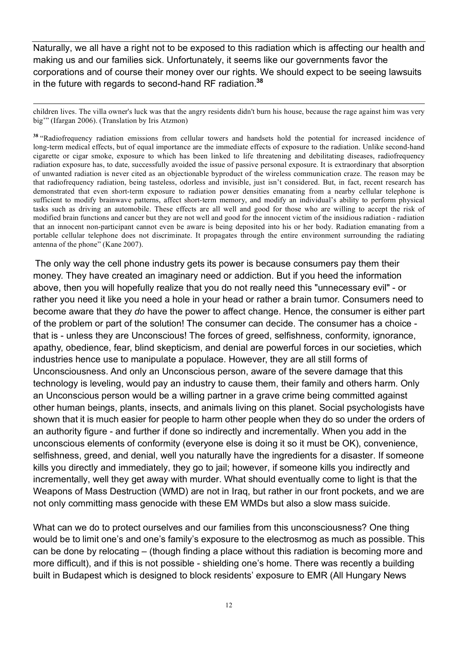Naturally, we all have a right not to be exposed to this radiation which is affecting our health and making us and our families sick. Unfortunately, it seems like our governments favor the corporations and of course their money over our rights. We should expect to be seeing lawsuits in the future with regards to second-hand RF radiation. **38**

 $\overline{a}$ children lives. The villa owner's luck was that the angry residents didn't burn his house, because the rage against him was very big'" (Ifargan 2006). (Translation by Iris Atzmon)

<sup>38</sup> "Radiofrequency radiation emissions from cellular towers and handsets hold the potential for increased incidence of long-term medical effects, but of equal importance are the immediate effects of exposure to the radiation. Unlike second-hand cigarette or cigar smoke, exposure to which has been linked to life threatening and debilitating diseases, radiofrequency radiation exposure has, to date, successfully avoided the issue of passive personal exposure. It is extraordinary that absorption of unwanted radiation is never cited as an objectionable byproduct of the wireless communication craze. The reason may be that radiofrequency radiation, being tasteless, odorless and invisible, just isn't considered. But, in fact, recent research has demonstrated that even short-term exposure to radiation power densities emanating from a nearby cellular telephone is sufficient to modify brainwave patterns, affect short-term memory, and modify an individual's ability to perform physical tasks such as driving an automobile. These effects are all well and good for those who are willing to accept the risk of modified brain functions and cancer but they are not well and good for the innocent victim of the insidious radiation - radiation that an innocent non-participant cannot even be aware is being deposited into his or her body. Radiation emanating from a portable cellular telephone does not discriminate. It propagates through the entire environment surrounding the radiating antenna of the phone" (Kane 2007).

The only way the cell phone industry gets its power is because consumers pay them their money. They have created an imaginary need or addiction. But if you heed the information above, then you will hopefully realize that you do not really need this "unnecessary evil" - or rather you need it like you need a hole in your head or rather a brain tumor. Consumers need to become aware that they *do* have the power to affect change. Hence, the consumer is either part of the problem or part of the solution! The consumer can decide. The consumer has a choice that is - unless they are Unconscious! The forces of greed, selfishness, conformity, ignorance, apathy, obedience, fear, blind skepticism, and denial are powerful forces in our societies, which industries hence use to manipulate a populace. However, they are all still forms of Unconsciousness. And only an Unconscious person, aware of the severe damage that this technology is leveling, would pay an industry to cause them, their family and others harm. Only an Unconscious person would be a willing partner in a grave crime being committed against other human beings, plants, insects, and animals living on this planet. Social psychologists have shown that it is much easier for people to harm other people when they do so under the orders of an authority figure - and further if done so indirectly and incrementally. When you add in the unconscious elements of conformity (everyone else is doing it so it must be OK), convenience, selfishness, greed, and denial, well you naturally have the ingredients for a disaster. If someone kills you directly and immediately, they go to jail; however, if someone kills you indirectly and incrementally, well they get away with murder. What should eventually come to light is that the Weapons of Mass Destruction (WMD) are not in Iraq, but rather in our front pockets, and we are not only committing mass genocide with these EM WMDs but also a slow mass suicide.

What can we do to protect ourselves and our families from this unconsciousness? One thing would be to limit one's and one's family's exposure to the electrosmog as much as possible. This can be done by relocating – (though finding a place without this radiation is becoming more and more difficult), and if this is not possible - shielding one's home. There was recently a building built in Budapest which is designed to block residents' exposure to EMR (All Hungary News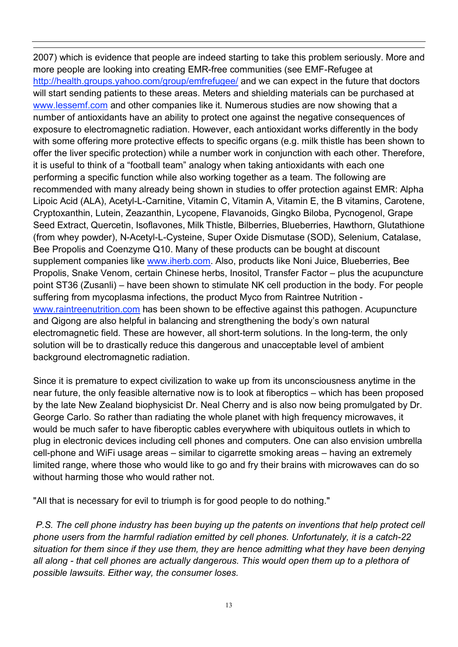$\overline{a}$ 2007) which is evidence that people are indeed starting to take this problem seriously. More and more people are looking into creating EMR-free communities (see EMF-Refugee at http://health.groups.yahoo.com/group/emfrefugee/ and we can expect in the future that doctors will start sending patients to these areas. Meters and shielding materials can be purchased at www.lessemf.com and other companies like it. Numerous studies are now showing that a number of antioxidants have an ability to protect one against the negative consequences of exposure to electromagnetic radiation. However, each antioxidant works differently in the body with some offering more protective effects to specific organs (e.g. milk thistle has been shown to offer the liver specific protection) while a number work in conjunction with each other. Therefore, it is useful to think of a "football team" analogy when taking antioxidants with each one performing a specific function while also working together as a team. The following are recommended with many already being shown in studies to offer protection against EMR: Alpha Lipoic Acid (ALA), Acetyl-L-Carnitine, Vitamin C, Vitamin A, Vitamin E, the B vitamins, Carotene, Cryptoxanthin, Lutein, Zeazanthin, Lycopene, Flavanoids, Gingko Biloba, Pycnogenol, Grape Seed Extract, Quercetin, Isoflavones, Milk Thistle, Bilberries, Blueberries, Hawthorn, Glutathione (from whey powder), N-Acetyl-L-Cysteine, Super Oxide Dismutase (SOD), Selenium, Catalase, Bee Propolis and Coenzyme Q10. Many of these products can be bought at discount supplement companies like www.iherb.com. Also, products like Noni Juice, Blueberries, Bee Propolis, Snake Venom, certain Chinese herbs, Inositol, Transfer Factor – plus the acupuncture point ST36 (Zusanli) – have been shown to stimulate NK cell production in the body. For people suffering from mycoplasma infections, the product Myco from Raintree Nutrition www.raintreenutrition.com has been shown to be effective against this pathogen. Acupuncture and Qigong are also helpful in balancing and strengthening the body's own natural electromagnetic field. These are however, all short-term solutions. In the long-term, the only solution will be to drastically reduce this dangerous and unacceptable level of ambient background electromagnetic radiation.

Since it is premature to expect civilization to wake up from its unconsciousness anytime in the near future, the only feasible alternative now is to look at fiberoptics – which has been proposed by the late New Zealand biophysicist Dr. Neal Cherry and is also now being promulgated by Dr. George Carlo. So rather than radiating the whole planet with high frequency microwaves, it would be much safer to have fiberoptic cables everywhere with ubiquitous outlets in which to plug in electronic devices including cell phones and computers. One can also envision umbrella cell-phone and WiFi usage areas – similar to cigarrette smoking areas – having an extremely limited range, where those who would like to go and fry their brains with microwaves can do so without harming those who would rather not.

"All that is necessary for evil to triumph is for good people to do nothing."

*P.S. The cell phone industry has been buying up the patents on inventions that help protect cell phone users from the harmful radiation emitted by cell phones. Unfortunately, it is a catch-22 situation for them since if they use them, they are hence admitting what they have been denying all along - that cell phones are actually dangerous. This would open them up to a plethora of possible lawsuits. Either way, the consumer loses.*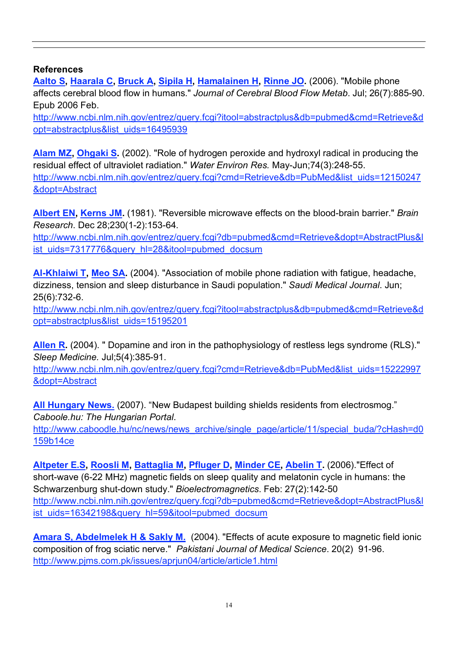### **References**

 $\overline{a}$ 

**Aalto S, Haarala C, Bruck A, Sipila H, Hamalainen H, Rinne JO.** (2006). "Mobile phone affects cerebral blood flow in humans." *Journal of Cerebral Blood Flow Metab*. Jul; 26(7):885-90. Epub 2006 Feb.

http://www.ncbi.nlm.nih.gov/entrez/query.fcgi?itool=abstractplus&db=pubmed&cmd=Retrieve&d opt=abstractplus&list\_uids=16495939

**Alam MZ, Ohgaki S.** (2002). "Role of hydrogen peroxide and hydroxyl radical in producing the residual effect of ultraviolet radiation." *Water Environ Res.* May-Jun;74(3):248-55. http://www.ncbi.nlm.nih.gov/entrez/query.fcgi?cmd=Retrieve&db=PubMed&list\_uids=12150247 &dopt=Abstract

**Albert EN, Kerns JM.** (1981). "Reversible microwave effects on the blood-brain barrier." *Brain Research*. Dec 28;230(1-2):153-64.

http://www.ncbi.nlm.nih.gov/entrez/query.fcgi?db=pubmed&cmd=Retrieve&dopt=AbstractPlus&l ist\_uids=7317776&query\_hl=28&itool=pubmed\_docsum

**Al-Khlaiwi T, Meo SA.** (2004). "Association of mobile phone radiation with fatigue, headache, dizziness, tension and sleep disturbance in Saudi population." *Saudi Medical Journal*. Jun; 25(6):732-6.

http://www.ncbi.nlm.nih.gov/entrez/query.fcgi?itool=abstractplus&db=pubmed&cmd=Retrieve&d opt=abstractplus&list\_uids=15195201

**Allen R.** (2004). " Dopamine and iron in the pathophysiology of restless legs syndrome (RLS)." *Sleep Medicine.* Jul;5(4):385-91.

http://www.ncbi.nlm.nih.gov/entrez/query.fcgi?cmd=Retrieve&db=PubMed&list\_uids=15222997 &dopt=Abstract

**All Hungary News.** (2007). "New Budapest building shields residents from electrosmog." *Caboole.hu: The Hungarian Portal*.

http://www.caboodle.hu/nc/news/news\_archive/single\_page/article/11/special\_buda/?cHash=d0 159b14ce

**Altpeter E.S, Roosli M, Battaglia M, Pfluger D, Minder CE, Abelin T.** (2006)."Effect of short-wave (6-22 MHz) magnetic fields on sleep quality and melatonin cycle in humans: the Schwarzenburg shut-down study." *Bioelectromagnetics*. Feb: 27(2):142-50 http://www.ncbi.nlm.nih.gov/entrez/query.fcgi?db=pubmed&cmd=Retrieve&dopt=AbstractPlus&l ist\_uids=16342198&query\_hl=59&itool=pubmed\_docsum

**Amara S, Abdelmelek H & Sakly M.** (2004). "Effects of acute exposure to magnetic field ionic composition of frog sciatic nerve." *Pakistani Journal of Medical Science*. 20(2) 91-96. http://www.pjms.com.pk/issues/aprjun04/article/article1.html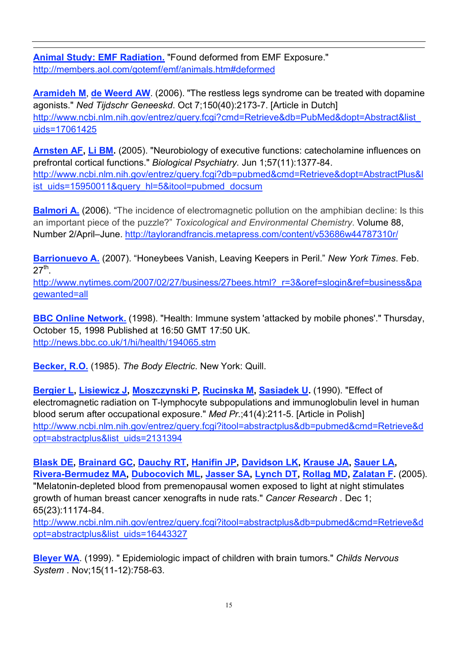$\overline{a}$ **Animal Study: EMF Radiation.** "Found deformed from EMF Exposure." http://members.aol.com/gotemf/emf/animals.htm#deformed

**Aramideh M**, **de Weerd AW**. (2006). "The restless legs syndrome can be treated with dopamine agonists." *Ned Tijdschr Geneeskd*. Oct 7;150(40):2173-7. [Article in Dutch] http://www.ncbi.nlm.nih.gov/entrez/query.fcgi?cmd=Retrieve&db=PubMed&dopt=Abstract&list\_ uids=17061425

**Arnsten AF, Li BM.** (2005). "Neurobiology of executive functions: catecholamine influences on prefrontal cortical functions." *Biological Psychiatry.* Jun 1;57(11):1377-84. http://www.ncbi.nlm.nih.gov/entrez/query.fcgi?db=pubmed&cmd=Retrieve&dopt=AbstractPlus&l ist\_uids=15950011&query\_hl=5&itool=pubmed\_docsum

**Balmori A.** (2006). "The incidence of electromagnetic pollution on the amphibian decline: Is this an important piece of the puzzle?" *Toxicological and Environmental Chemistry*. Volume 88, Number 2/April–June. http://taylorandfrancis.metapress.com/content/v53686w44787310r/

**Barrionuevo A.** (2007). "Honeybees Vanish, Leaving Keepers in Peril." *New York Times*. Feb.  $27<sup>th</sup>$ .

http://www.nytimes.com/2007/02/27/business/27bees.html?\_r=3&oref=slogin&ref=business&pa gewanted=all

**BBC Online Network.** (1998). "Health: Immune system 'attacked by mobile phones'." Thursday, October 15, 1998 Published at 16:50 GMT 17:50 UK. http://news.bbc.co.uk/1/hi/health/194065.stm

**Becker, R.O.** (1985). *The Body Electric*. New York: Quill.

**Bergier L, Lisiewicz J, Moszczynski P, Rucinska M, Sasiadek U.** (1990). "Effect of electromagnetic radiation on T-lymphocyte subpopulations and immunoglobulin level in human blood serum after occupational exposure." *Med Pr.*;41(4):211-5. [Article in Polish] http://www.ncbi.nlm.nih.gov/entrez/query.fcgi?itool=abstractplus&db=pubmed&cmd=Retrieve&d opt=abstractplus&list\_uids=2131394

**Blask DE, Brainard GC, Dauchy RT, Hanifin JP, Davidson LK, Krause JA, Sauer LA, Rivera-Bermudez MA, Dubocovich ML, Jasser SA, Lynch DT, Rollag MD, Zalatan F.** (2005). "Melatonin-depleted blood from premenopausal women exposed to light at night stimulates growth of human breast cancer xenografts in nude rats." *Cancer Research .* Dec 1; 65(23):11174-84.

http://www.ncbi.nlm.nih.gov/entrez/query.fcgi?itool=abstractplus&db=pubmed&cmd=Retrieve&d opt=abstractplus&list\_uids=16443327

**Bleyer WA**. (1999). " Epidemiologic impact of children with brain tumors." *Childs Nervous System* . Nov;15(11-12):758-63.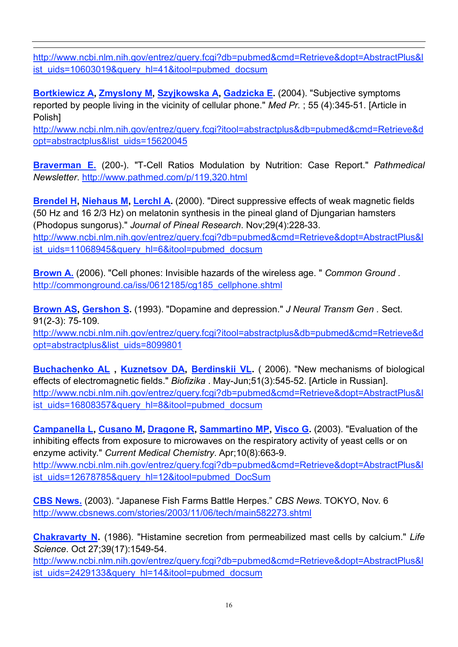$\overline{a}$ http://www.ncbi.nlm.nih.gov/entrez/query.fcgi?db=pubmed&cmd=Retrieve&dopt=AbstractPlus&l ist\_uids=10603019&query\_hl=41&itool=pubmed\_docsum

**Bortkiewicz A, Zmyslony M, Szyjkowska A, Gadzicka E.** (2004). "Subjective symptoms reported by people living in the vicinity of cellular phone." *Med Pr.* ; 55 (4):345-51. [Article in Polish]

http://www.ncbi.nlm.nih.gov/entrez/query.fcgi?itool=abstractplus&db=pubmed&cmd=Retrieve&d opt=abstractplus&list\_uids=15620045

**Braverman E.** (200-). "T-Cell Ratios Modulation by Nutrition: Case Report." *Pathmedical Newsletter*. http://www.pathmed.com/p/119,320.html

**Brendel H, Niehaus M, Lerchl A.** (2000). "Direct suppressive effects of weak magnetic fields (50 Hz and 16 2/3 Hz) on melatonin synthesis in the pineal gland of Djungarian hamsters (Phodopus sungorus)." *Journal of Pineal Research*. Nov;29(4):228-33. http://www.ncbi.nlm.nih.gov/entrez/query.fcgi?db=pubmed&cmd=Retrieve&dopt=AbstractPlus&l ist\_uids=11068945&query\_hl=6&itool=pubmed\_docsum

**Brown A.** (2006). "Cell phones: Invisible hazards of the wireless age. " *Common Ground .* http://commonground.ca/iss/0612185/cg185\_cellphone.shtml

**Brown AS, Gershon S.** (1993). "Dopamine and depression." *J Neural Transm Gen .* Sect. 91(2-3): 75-109.

http://www.ncbi.nlm.nih.gov/entrez/query.fcgi?itool=abstractplus&db=pubmed&cmd=Retrieve&d opt=abstractplus&list\_uids=8099801

**Buchachenko AL , Kuznetsov DA, Berdinskii VL.** ( 2006). "New mechanisms of biological effects of electromagnetic fields." *Biofizika* . May-Jun;51(3):545-52. [Article in Russian]. http://www.ncbi.nlm.nih.gov/entrez/query.fcgi?db=pubmed&cmd=Retrieve&dopt=AbstractPlus&l ist\_uids=16808357&query\_hl=8&itool=pubmed\_docsum

**Campanella L, Cusano M, Dragone R, Sammartino MP, Visco G.** (2003). "Evaluation of the inhibiting effects from exposure to microwaves on the respiratory activity of yeast cells or on enzyme activity." *Current Medical Chemistry*. Apr;10(8):663-9. http://www.ncbi.nlm.nih.gov/entrez/query.fcgi?db=pubmed&cmd=Retrieve&dopt=AbstractPlus&l ist\_uids=12678785&query\_hl=12&itool=pubmed\_DocSum

**CBS News.** (2003). "Japanese Fish Farms Battle Herpes." *CBS News*. TOKYO, Nov. 6 http://www.cbsnews.com/stories/2003/11/06/tech/main582273.shtml

**Chakravarty N.** (1986). "Histamine secretion from permeabilized mast cells by calcium." *Life Science*. Oct 27;39(17):1549-54.

http://www.ncbi.nlm.nih.gov/entrez/query.fcgi?db=pubmed&cmd=Retrieve&dopt=AbstractPlus&l ist\_uids=2429133&query\_hl=14&itool=pubmed\_docsum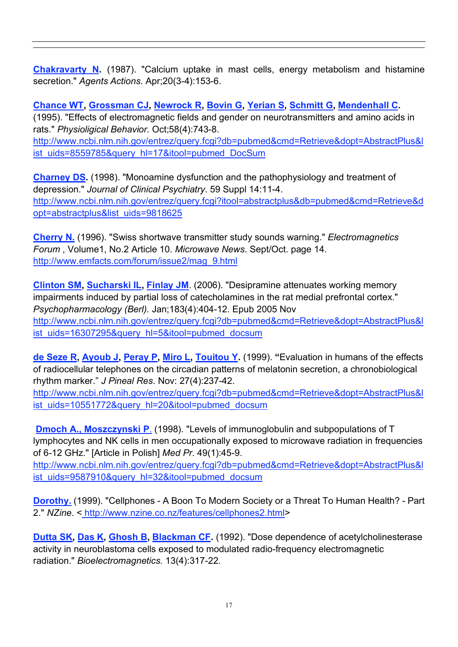**Chakravarty N.** (1987). "Calcium uptake in mast cells, energy metabolism and histamine secretion." *Agents Actions*. Apr;20(3-4):153-6.

 $\overline{a}$ 

**Chance WT, Grossman CJ, Newrock R, Bovin G, Yerian S, Schmitt G, Mendenhall C.** (1995). "Effects of electromagnetic fields and gender on neurotransmitters and amino acids in rats." *Physioligical Behavior.* Oct;58(4):743-8. http://www.ncbi.nlm.nih.gov/entrez/query.fcgi?db=pubmed&cmd=Retrieve&dopt=AbstractPlus&l ist\_uids=8559785&query\_hl=17&itool=pubmed\_DocSum

**Charney DS.** (1998). "Monoamine dysfunction and the pathophysiology and treatment of depression." *Journal of Clinical Psychiatry*. 59 Suppl 14:11-4. http://www.ncbi.nlm.nih.gov/entrez/query.fcgi?itool=abstractplus&db=pubmed&cmd=Retrieve&d opt=abstractplus&list\_uids=9818625

**Cherry N.** (1996). "Swiss shortwave transmitter study sounds warning." *Electromagnetics Forum* , Volume1, No.2 Article 10. *Microwave News*. Sept/Oct. page 14. http://www.emfacts.com/forum/issue2/mag\_9.html

**Clinton SM, Sucharski IL, Finlay JM**. (2006). "Desipramine attenuates working memory impairments induced by partial loss of catecholamines in the rat medial prefrontal cortex." *Psychopharmacology (Berl).* Jan;183(4):404-12. Epub 2005 Nov http://www.ncbi.nlm.nih.gov/entrez/query.fcgi?db=pubmed&cmd=Retrieve&dopt=AbstractPlus&l ist\_uids=16307295&query\_hl=5&itool=pubmed\_docsum

**de Seze R, Ayoub J, Peray P, Miro L, Touitou Y.** (1999). **"**Evaluation in humans of the effects of radiocellular telephones on the circadian patterns of melatonin secretion, a chronobiological rhythm marker." *J Pineal Res*. Nov: 27(4):237-42.

http://www.ncbi.nlm.nih.gov/entrez/query.fcgi?db=pubmed&cmd=Retrieve&dopt=AbstractPlus&l ist\_uids=10551772&query\_hl=20&itool=pubmed\_docsum

**Dmoch A., Moszczynski P**. (1998). "Levels of immunoglobulin and subpopulations of T lymphocytes and NK cells in men occupationally exposed to microwave radiation in frequencies of 6-12 GHz." [Article in Polish] *Med Pr.* 49(1):45-9.

http://www.ncbi.nlm.nih.gov/entrez/query.fcgi?db=pubmed&cmd=Retrieve&dopt=AbstractPlus&l ist\_uids=9587910&query\_hl=32&itool=pubmed\_docsum

**Dorothy.** (1999). "Cellphones - A Boon To Modern Society or a Threat To Human Health? - Part 2." *NZine*. < http://www.nzine.co.nz/features/cellphones2.html>

**Dutta SK, Das K, Ghosh B, Blackman CF.** (1992). "Dose dependence of acetylcholinesterase activity in neuroblastoma cells exposed to modulated radio-frequency electromagnetic radiation." *Bioelectromagnetics.* 13(4):317-22.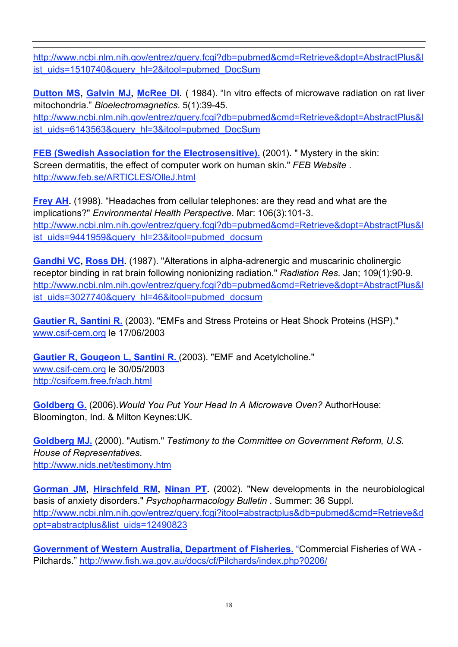$\overline{a}$ http://www.ncbi.nlm.nih.gov/entrez/query.fcgi?db=pubmed&cmd=Retrieve&dopt=AbstractPlus&l ist\_uids=1510740&query\_hl=2&itool=pubmed\_DocSum

**Dutton MS, Galvin MJ, McRee DI.** ( 1984). "In vitro effects of microwave radiation on rat liver mitochondria." *Bioelectromagnetics*. 5(1):39-45. http://www.ncbi.nlm.nih.gov/entrez/query.fcgi?db=pubmed&cmd=Retrieve&dopt=AbstractPlus&l ist\_uids=6143563&query\_hl=3&itool=pubmed\_DocSum

**FEB (Swedish Association for the Electrosensitive).** (2001). " Mystery in the skin: Screen dermatitis, the effect of computer work on human skin." *FEB Website* . http://www.feb.se/ARTICLES/OlleJ.html

**Frey AH.** (1998). "Headaches from cellular telephones: are they read and what are the implications?" *Environmental Health Perspective*. Mar: 106(3):101-3. http://www.ncbi.nlm.nih.gov/entrez/query.fcgi?db=pubmed&cmd=Retrieve&dopt=AbstractPlus&l ist\_uids=9441959&query\_hl=23&itool=pubmed\_docsum

**Gandhi VC, Ross DH.** (1987). "Alterations in alpha-adrenergic and muscarinic cholinergic receptor binding in rat brain following nonionizing radiation." *Radiation Res*. Jan; 109(1):90-9. http://www.ncbi.nlm.nih.gov/entrez/query.fcgi?db=pubmed&cmd=Retrieve&dopt=AbstractPlus&l ist\_uids=3027740&query\_hl=46&itool=pubmed\_docsum

**Gautier R, Santini R.** (2003). "EMFs and Stress Proteins or Heat Shock Proteins (HSP)." www.csif-cem.org le 17/06/2003

**Gautier R, Gougeon L, Santini R.** (2003). "EMF and Acetylcholine." www.csif-cem.org le 30/05/2003 http://csifcem.free.fr/ach.html

**Goldberg G.** (2006).*Would You Put Your Head In A Microwave Oven?* AuthorHouse: Bloomington, Ind. & Milton Keynes:UK.

**Goldberg MJ.** (2000). "Autism." *Testimony to the Committee on Government Reform, U.S. House of Representatives*. http://www.nids.net/testimony.htm

**Gorman JM, Hirschfeld RM, Ninan PT.** (2002). "New developments in the neurobiological basis of anxiety disorders." *Psychopharmacology Bulletin* . Summer: 36 Suppl. http://www.ncbi.nlm.nih.gov/entrez/query.fcgi?itool=abstractplus&db=pubmed&cmd=Retrieve&d opt=abstractplus&list\_uids=12490823

**Government of Western Australia, Department of Fisheries.** "Commercial Fisheries of WA - Pilchards." http://www.fish.wa.gov.au/docs/cf/Pilchards/index.php?0206/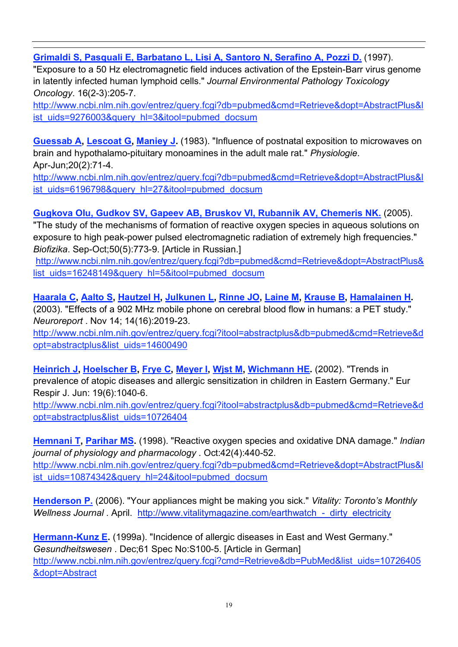$\overline{a}$ **Grimaldi S, Pasquali E, Barbatano L, Lisi A, Santoro N, Serafino A, Pozzi D.** (1997).

"Exposure to a 50 Hz electromagnetic field induces activation of the Epstein-Barr virus genome in latently infected human lymphoid cells." *Journal Environmental Pathology Toxicology Oncology*. 16(2-3):205-7.

http://www.ncbi.nlm.nih.gov/entrez/query.fcgi?db=pubmed&cmd=Retrieve&dopt=AbstractPlus&l ist\_uids=9276003&query\_hl=3&itool=pubmed\_docsum

**Guessab A, Lescoat G, Maniey J.** (1983). "Influence of postnatal exposition to microwaves on brain and hypothalamo-pituitary monoamines in the adult male rat." *Physiologie*. Apr-Jun;20(2):71-4.

http://www.ncbi.nlm.nih.gov/entrez/query.fcgi?db=pubmed&cmd=Retrieve&dopt=AbstractPlus&l ist\_uids=6196798&query\_hl=27&itool=pubmed\_docsum

**Gugkova OIu, Gudkov SV, Gapeev AB, Bruskov VI, Rubannik AV, Chemeris NK.** (2005). "The study of the mechanisms of formation of reactive oxygen species in aqueous solutions on exposure to high peak-power pulsed electromagnetic radiation of extremely high frequencies." *Biofizika*. Sep-Oct;50(5):773-9. [Article in Russian.]

http://www.ncbi.nlm.nih.gov/entrez/query.fcgi?db=pubmed&cmd=Retrieve&dopt=AbstractPlus& list\_uids=16248149&query\_hl=5&itool=pubmed\_docsum

**Haarala C, Aalto S, Hautzel H, Julkunen L, Rinne JO, Laine M, Krause B, Hamalainen H.** (2003). "Effects of a 902 MHz mobile phone on cerebral blood flow in humans: a PET study." *Neuroreport* . Nov 14; 14(16):2019-23.

http://www.ncbi.nlm.nih.gov/entrez/query.fcgi?itool=abstractplus&db=pubmed&cmd=Retrieve&d opt=abstractplus&list\_uids=14600490

**Heinrich J, Hoelscher B, Frye C, Meyer I, Wjst M, Wichmann HE.** (2002). "Trends in prevalence of atopic diseases and allergic sensitization in children in Eastern Germany." Eur Respir J. Jun: 19(6):1040-6.

http://www.ncbi.nlm.nih.gov/entrez/query.fcgi?itool=abstractplus&db=pubmed&cmd=Retrieve&d opt=abstractplus&list\_uids=10726404

**Hemnani T, Parihar MS.** (1998). "Reactive oxygen species and oxidative DNA damage." *Indian journal of physiology and pharmacology* . Oct:42(4):440-52. http://www.ncbi.nlm.nih.gov/entrez/query.fcgi?db=pubmed&cmd=Retrieve&dopt=AbstractPlus&l ist\_uids=10874342&query\_hl=24&itool=pubmed\_docsum

**Henderson P.** (2006). "Your appliances might be making you sick." *Vitality: Toronto's Monthly Wellness Journal* . April. http://www.vitalitymagazine.com/earthwatch - dirty electricity

**Hermann-Kunz E.** (1999a). "Incidence of allergic diseases in East and West Germany." *Gesundheitswesen* . Dec;61 Spec No:S100-5. [Article in German] http://www.ncbi.nlm.nih.gov/entrez/query.fcgi?cmd=Retrieve&db=PubMed&list\_uids=10726405 &dopt=Abstract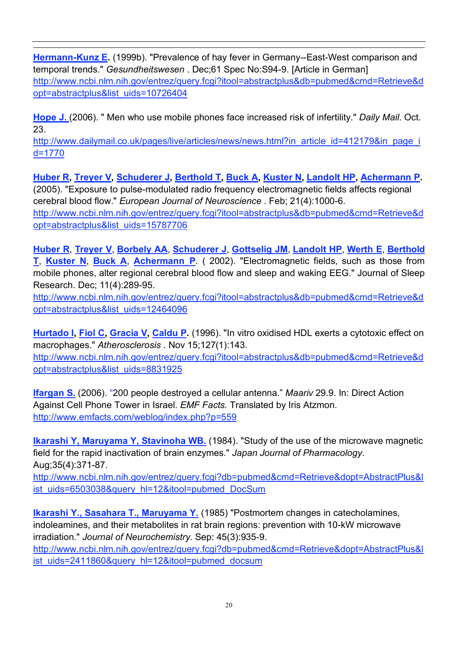$\overline{a}$ **Hermann-Kunz E.** (1999b). "Prevalence of hay fever in Germany--East-West comparison and temporal trends." *Gesundheitswesen* . Dec;61 Spec No:S94-9. [Article in German] http://www.ncbi.nlm.nih.gov/entrez/query.fcgi?itool=abstractplus&db=pubmed&cmd=Retrieve&d opt=abstractplus&list\_uids=10726404

**Hope J.** (2006). " Men who use mobile phones face increased risk of infertility." *Daily Mail*. Oct. 23.

http://www.dailymail.co.uk/pages/live/articles/news/news.html?in\_article\_id=412179&in\_page\_i d=1770

**Huber R, Treyer V, Schuderer J, Berthold T, Buck A, Kuster N, Landolt HP, Achermann P.** (2005). "Exposure to pulse-modulated radio frequency electromagnetic fields affects regional cerebral blood flow." *European Journal of Neuroscience* . Feb; 21(4):1000-6. http://www.ncbi.nlm.nih.gov/entrez/query.fcgi?itool=abstractplus&db=pubmed&cmd=Retrieve&d opt=abstractplus&list\_uids=15787706

**Huber R**, **Treyer V**, **Borbely AA**, **Schuderer J**, **Gottselig JM**, **Landolt HP**, **Werth E**, **Berthold T**, **Kuster N**, **Buck A**, **Achermann P**. ( 2002). "Electromagnetic fields, such as those from mobile phones, alter regional cerebral blood flow and sleep and waking EEG." Journal of Sleep Research. Dec; 11(4):289-95.

http://www.ncbi.nlm.nih.gov/entrez/query.fcgi?itool=abstractplus&db=pubmed&cmd=Retrieve&d opt=abstractplus&list\_uids=12464096

**Hurtado I, Fiol C, Gracia V, Caldu P.** (1996). "In vitro oxidised HDL exerts a cytotoxic effect on macrophages." *Atherosclerosis* . Nov 15;127(1):143.

http://www.ncbi.nlm.nih.gov/entrez/query.fcgi?itool=abstractplus&db=pubmed&cmd=Retrieve&d opt=abstractplus&list\_uids=8831925

**Ifargan S.** (2006). "200 people destroyed a cellular antenna." *Maariv* 29.9. In: Direct Action Against Cell Phone Tower in Israel. *EMF Facts.* Translated by Iris Atzmon. http://www.emfacts.com/weblog/index.php?p=559

**Ikarashi Y, Maruyama Y, Stavinoha WB.** (1984). "Study of the use of the microwave magnetic field for the rapid inactivation of brain enzymes." *Japan Journal of Pharmacology*. Aug;35(4):371-87.

http://www.ncbi.nlm.nih.gov/entrez/query.fcgi?db=pubmed&cmd=Retrieve&dopt=AbstractPlus&l ist\_uids=6503038&query\_hl=12&itool=pubmed\_DocSum

**Ikarashi Y., Sasahara T., Maruyama Y.** (1985) "Postmortem changes in catecholamines, indoleamines, and their metabolites in rat brain regions: prevention with 10-kW microwave irradiation." *Journal of Neurochemistry*. Sep: 45(3):935-9. http://www.ncbi.nlm.nih.gov/entrez/query.fcgi?db=pubmed&cmd=Retrieve&dopt=AbstractPlus&l ist\_uids=2411860&query\_hl=12&itool=pubmed\_docsum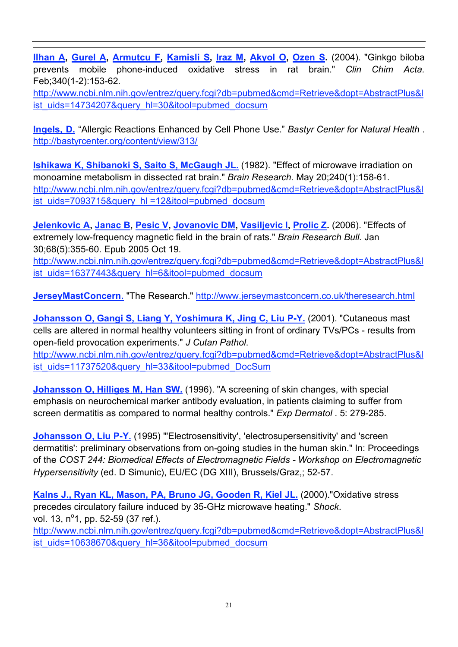$\overline{a}$ **Ilhan A, Gurel A, Armutcu F, Kamisli S, Iraz M, Akyol O, Ozen S.** (2004). "Ginkgo biloba prevents mobile phone-induced oxidative stress in rat brain." *Clin Chim Acta.* Feb;340(1-2):153-62.

http://www.ncbi.nlm.nih.gov/entrez/query.fcgi?db=pubmed&cmd=Retrieve&dopt=AbstractPlus&l ist\_uids=14734207&query\_hl=30&itool=pubmed\_docsum

**Ingels, D.** "Allergic Reactions Enhanced by Cell Phone Use." *Bastyr Center for Natural Health* . http://bastyrcenter.org/content/view/313/

**Ishikawa K, Shibanoki S, Saito S, McGaugh JL.** (1982). "Effect of microwave irradiation on monoamine metabolism in dissected rat brain." *Brain Research*. May 20;240(1):158-61. http://www.ncbi.nlm.nih.gov/entrez/query.fcgi?db=pubmed&cmd=Retrieve&dopt=AbstractPlus&l ist\_uids=7093715&query\_hl =12&itool=pubmed\_docsum

**Jelenkovic A, Janac B, Pesic V, Jovanovic DM, Vasiljevic I, Prolic Z.** (2006). "Effects of extremely low-frequency magnetic field in the brain of rats." *Brain Research Bull.* Jan 30;68(5):355-60. Epub 2005 Oct 19.

http://www.ncbi.nlm.nih.gov/entrez/query.fcgi?db=pubmed&cmd=Retrieve&dopt=AbstractPlus&l ist\_uids=16377443&query\_hl=6&itool=pubmed\_docsum

**JerseyMastConcern.** "The Research." http://www.jerseymastconcern.co.uk/theresearch.html

**Johansson O, Gangi S, Liang Y, Yoshimura K, Jing C, Liu P-Y.** (2001). "Cutaneous mast cells are altered in normal healthy volunteers sitting in front of ordinary TVs/PCs - results from open-field provocation experiments." *J Cutan Pathol*.

http://www.ncbi.nlm.nih.gov/entrez/query.fcgi?db=pubmed&cmd=Retrieve&dopt=AbstractPlus&l ist\_uids=11737520&query\_hl=33&itool=pubmed\_DocSum

**Johansson O, Hilliges M, Han SW.** (1996). "A screening of skin changes, with special emphasis on neurochemical marker antibody evaluation, in patients claiming to suffer from screen dermatitis as compared to normal healthy controls." *Exp Dermatol* . 5: 279-285.

**Johansson O, Liu P-Y.** (1995) "'Electrosensitivity', 'electrosupersensitivity' and 'screen dermatitis': preliminary observations from on-going studies in the human skin." In: Proceedings of the *COST 244: Biomedical Effects of Electromagnetic Fields - Workshop on Electromagnetic Hypersensitivity* (ed. D Simunic), EU/EC (DG XIII), Brussels/Graz,; 52-57.

**Kalns J., Ryan KL, Mason, PA, Bruno JG, Gooden R, Kiel JL.** (2000)."Oxidative stress precedes circulatory failure induced by 35-GHz microwave heating." *Shock*. vol. 13, n<sup>o</sup>1, pp. 52-59 (37 ref.). http://www.ncbi.nlm.nih.gov/entrez/query.fcgi?db=pubmed&cmd=Retrieve&dopt=AbstractPlus&l ist\_uids=10638670&query\_hl=36&itool=pubmed\_docsum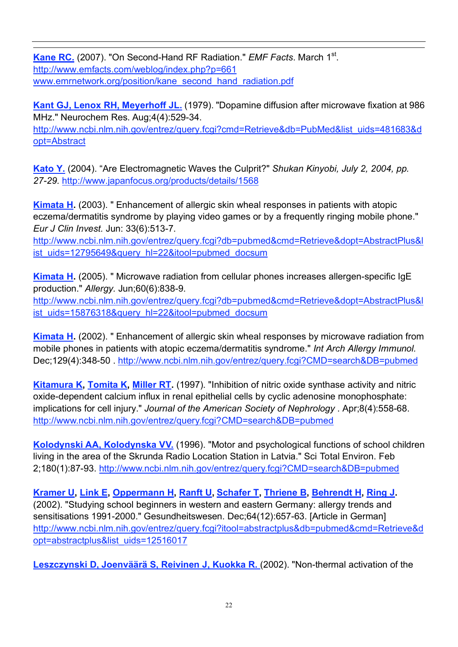$\overline{a}$ **Kane RC.** (2007). "On Second-Hand RF Radiation." *EMF Facts*. March 1st . http://www.emfacts.com/weblog/index.php?p=661 www.emrnetwork.org/position/kane\_second\_hand\_radiation.pdf

**Kant GJ, Lenox RH, Meyerhoff JL.** (1979). "Dopamine diffusion after microwave fixation at 986 MHz." Neurochem Res. Aug;4(4):529-34.

http://www.ncbi.nlm.nih.gov/entrez/query.fcgi?cmd=Retrieve&db=PubMed&list\_uids=481683&d opt=Abstract

**Kato Y.** (2004). "Are Electromagnetic Waves the Culprit?" *Shukan Kinyobi, July 2, 2004, pp. 27-29.* http://www.japanfocus.org/products/details/1568

**Kimata H.** (2003). " Enhancement of allergic skin wheal responses in patients with atopic eczema/dermatitis syndrome by playing video games or by a frequently ringing mobile phone." *Eur J Clin Invest.* Jun: 33(6):513-7.

http://www.ncbi.nlm.nih.gov/entrez/query.fcgi?db=pubmed&cmd=Retrieve&dopt=AbstractPlus&l ist\_uids=12795649&query\_hl=22&itool=pubmed\_docsum

**Kimata H.** (2005). " Microwave radiation from cellular phones increases allergen-specific IgE production." *Allergy.* Jun;60(6):838-9.

http://www.ncbi.nlm.nih.gov/entrez/query.fcgi?db=pubmed&cmd=Retrieve&dopt=AbstractPlus&l ist\_uids=15876318&query\_hl=22&itool=pubmed\_docsum

**Kimata H.** (2002). " Enhancement of allergic skin wheal responses by microwave radiation from mobile phones in patients with atopic eczema/dermatitis syndrome." *Int Arch Allergy Immunol.* Dec;129(4):348-50 . http://www.ncbi.nlm.nih.gov/entrez/query.fcgi?CMD=search&DB=pubmed

**Kitamura K, Tomita K, Miller RT.** (1997). "Inhibition of nitric oxide synthase activity and nitric oxide-dependent calcium influx in renal epithelial cells by cyclic adenosine monophosphate: implications for cell injury." *Journal of the American Society of Nephrology* . Apr;8(4):558-68. http://www.ncbi.nlm.nih.gov/entrez/query.fcgi?CMD=search&DB=pubmed

**Kolodynski AA, Kolodynska VV.** (1996). "Motor and psychological functions of school children living in the area of the Skrunda Radio Location Station in Latvia." Sci Total Environ. Feb 2;180(1):87-93. http://www.ncbi.nlm.nih.gov/entrez/query.fcgi?CMD=search&DB=pubmed

**Kramer U, Link E, Oppermann H, Ranft U, Schafer T, Thriene B, Behrendt H, Ring J.** (2002). "Studying school beginners in western and eastern Germany: allergy trends and sensitisations 1991-2000." Gesundheitswesen. Dec;64(12):657-63. [Article in German] http://www.ncbi.nlm.nih.gov/entrez/query.fcgi?itool=abstractplus&db=pubmed&cmd=Retrieve&d opt=abstractplus&list\_uids=12516017

**Leszczynski D, Joenväärä S, Reivinen J, Kuokka R.** (2002). "Non-thermal activation of the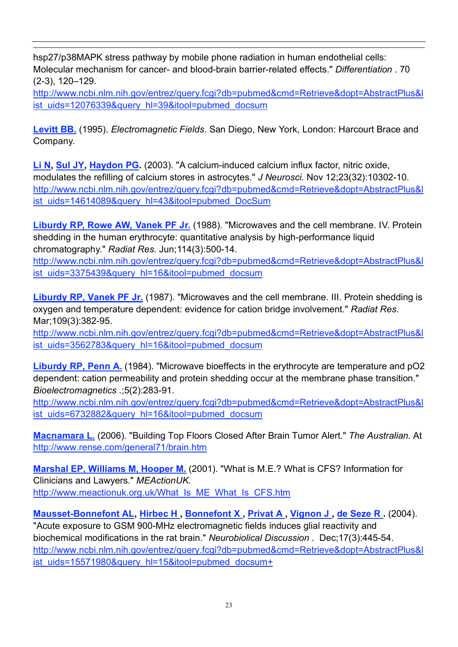$\overline{a}$ hsp27/p38MAPK stress pathway by mobile phone radiation in human endothelial cells: Molecular mechanism for cancer- and blood-brain barrier-related effects." *Differentiation* . 70 (2-3), 120–129.

http://www.ncbi.nlm.nih.gov/entrez/query.fcgi?db=pubmed&cmd=Retrieve&dopt=AbstractPlus&l ist\_uids=12076339&query\_hl=39&itool=pubmed\_docsum

**Levitt BB.** (1995). *Electromagnetic Fields*. San Diego, New York, London: Harcourt Brace and Company.

**Li N, Sul JY, Haydon PG.** (2003). "A calcium-induced calcium influx factor, nitric oxide, modulates the refilling of calcium stores in astrocytes." *J Neurosci.* Nov 12;23(32):10302-10. http://www.ncbi.nlm.nih.gov/entrez/query.fcgi?db=pubmed&cmd=Retrieve&dopt=AbstractPlus&l ist\_uids=14614089&query\_hl=43&itool=pubmed\_DocSum

**Liburdy RP, Rowe AW, Vanek PF Jr.** (1988). "Microwaves and the cell membrane. IV. Protein shedding in the human erythrocyte: quantitative analysis by high-performance liquid chromatography." *Radiat Res*. Jun;114(3):500-14.

http://www.ncbi.nlm.nih.gov/entrez/query.fcgi?db=pubmed&cmd=Retrieve&dopt=AbstractPlus&l ist\_uids=3375439&query\_hl=16&itool=pubmed\_docsum

**Liburdy RP, Vanek PF Jr.** (1987). "Microwaves and the cell membrane. III. Protein shedding is oxygen and temperature dependent: evidence for cation bridge involvement." *Radiat Res*. Mar;109(3):382-95.

http://www.ncbi.nlm.nih.gov/entrez/query.fcgi?db=pubmed&cmd=Retrieve&dopt=AbstractPlus&l ist\_uids=3562783&query\_hl=16&itool=pubmed\_docsum

**Liburdy RP, Penn A.** (1984). "Microwave bioeffects in the erythrocyte are temperature and pO2 dependent: cation permeability and protein shedding occur at the membrane phase transition." *Bioelectromagnetics* .;5(2):283-91.

http://www.ncbi.nlm.nih.gov/entrez/query.fcgi?db=pubmed&cmd=Retrieve&dopt=AbstractPlus&l ist\_uids=6732882&query\_hl=16&itool=pubmed\_docsum

**Macnamara L.** (2006). "Building Top Floors Closed After Brain Tumor Alert." *The Australian*. At http://www.rense.com/general71/brain.htm

**Marshal EP, Williams M, Hooper M.** (2001). "What is M.E.? What is CFS? Information for Clinicians and Lawyers." *MEActionUK.* http://www.meactionuk.org.uk/What\_Is\_ME\_What\_Is\_CFS.htm

**Mausset-Bonnefont AL, Hirbec H , Bonnefont X , Privat A , Vignon J , de Seze R .** (2004). "Acute exposure to GSM 900-MHz electromagnetic fields induces glial reactivity and biochemical modifications in the rat brain." *Neurobiolical Discussion* . Dec;17(3):445-54. http://www.ncbi.nlm.nih.gov/entrez/query.fcgi?db=pubmed&cmd=Retrieve&dopt=AbstractPlus&l ist\_uids=15571980&query\_hl=15&itool=pubmed\_docsum+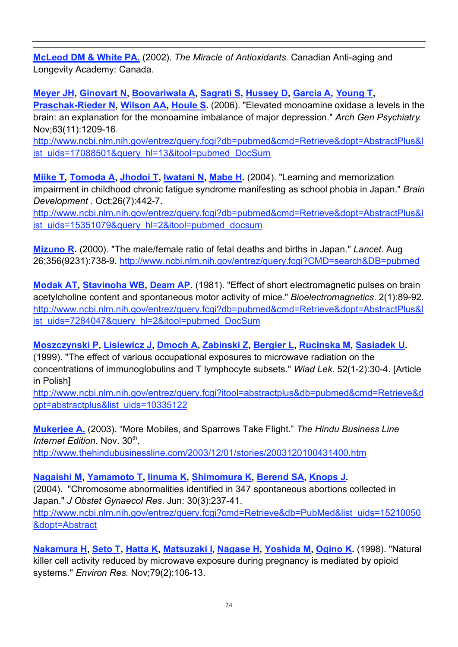$\overline{a}$ **McLeod DM & White PA.** (2002). *The Miracle of Antioxidants.* Canadian Anti-aging and Longevity Academy: Canada.

**Meyer JH, Ginovart N, Boovariwala A, Sagrati S, Hussey D, Garcia A, Young T, Praschak-Rieder N, Wilson AA, Houle S.** (2006). "Elevated monoamine oxidase a levels in the brain: an explanation for the monoamine imbalance of major depression." *Arch Gen Psychiatry.* Nov;63(11):1209-16.

http://www.ncbi.nlm.nih.gov/entrez/query.fcgi?db=pubmed&cmd=Retrieve&dopt=AbstractPlus&l ist\_uids=17088501&query\_hl=13&itool=pubmed\_DocSum

**Miike T, Tomoda A, Jhodoi T, Iwatani N, Mabe H.** (2004). "Learning and memorization impairment in childhood chronic fatigue syndrome manifesting as school phobia in Japan." *Brain Development .* Oct;26(7):442-7.

http://www.ncbi.nlm.nih.gov/entrez/query.fcgi?db=pubmed&cmd=Retrieve&dopt=AbstractPlus&l ist\_uids=15351079&query\_hl=2&itool=pubmed\_docsum

**Mizuno R.** (2000). "The male/female ratio of fetal deaths and births in Japan." *Lancet*. Aug 26;356(9231):738-9. http://www.ncbi.nlm.nih.gov/entrez/query.fcgi?CMD=search&DB=pubmed

**Modak AT, Stavinoha WB, Deam AP.** (1981). "Effect of short electromagnetic pulses on brain acetylcholine content and spontaneous motor activity of mice." *Bioelectromagnetics*. 2(1):89-92. http://www.ncbi.nlm.nih.gov/entrez/query.fcgi?db=pubmed&cmd=Retrieve&dopt=AbstractPlus&l ist\_uids=7284047&query\_hl=2&itool=pubmed\_DocSum

## **Moszczynski P, Lisiewicz J, Dmoch A, Zabinski Z, Bergier L, Rucinska M, Sasiadek U.**

(1999). "The effect of various occupational exposures to microwave radiation on the concentrations of immunoglobulins and T lymphocyte subsets." *Wiad Lek*. 52(1-2):30-4. [Article in Polish]

http://www.ncbi.nlm.nih.gov/entrez/query.fcgi?itool=abstractplus&db=pubmed&cmd=Retrieve&d opt=abstractplus&list\_uids=10335122

**Mukerjee A.** (2003). "More Mobiles, and Sparrows Take Flight." *The Hindu Business Line* Internet Edition. Nov. 30<sup>th</sup>.

http://www.thehindubusinessline.com/2003/12/01/stories/2003120100431400.htm

**Nagaishi M, Yamamoto T, Iinuma K, Shimomura K, Berend SA, Knops J.**

(2004). "Chromosome abnormalities identified in 347 spontaneous abortions collected in Japan." *J Obstet Gynaecol Res*. Jun: 30(3):237-41.

http://www.ncbi.nlm.nih.gov/entrez/query.fcgi?cmd=Retrieve&db=PubMed&list\_uids=15210050 &dopt=Abstract

**Nakamura H, Seto T, Hatta K, Matsuzaki I, Nagase H, Yoshida M, Ogino K.** (1998). "Natural killer cell activity reduced by microwave exposure during pregnancy is mediated by opioid systems." *Environ Res.* Nov;79(2):106-13.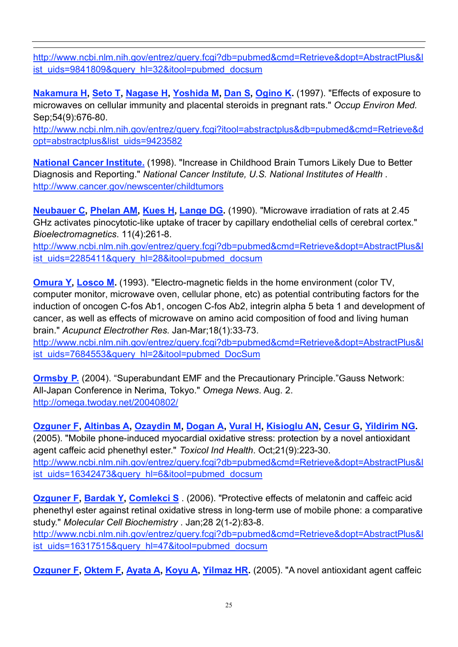$\overline{a}$ http://www.ncbi.nlm.nih.gov/entrez/query.fcgi?db=pubmed&cmd=Retrieve&dopt=AbstractPlus&l ist\_uids=9841809&query\_hl=32&itool=pubmed\_docsum

**Nakamura H, Seto T, Nagase H, Yoshida M, Dan S, Ogino K.** (1997). "Effects of exposure to microwaves on cellular immunity and placental steroids in pregnant rats." *Occup Environ Med.* Sep;54(9):676-80.

http://www.ncbi.nlm.nih.gov/entrez/query.fcgi?itool=abstractplus&db=pubmed&cmd=Retrieve&d opt=abstractplus&list\_uids=9423582

**National Cancer Institute.** (1998). "Increase in Childhood Brain Tumors Likely Due to Better Diagnosis and Reporting." *National Cancer Institute, U.S. National Institutes of Health* . http://www.cancer.gov/newscenter/childtumors

**Neubauer C, Phelan AM, Kues H, Lange DG.** (1990). "Microwave irradiation of rats at 2.45 GHz activates pinocytotic-like uptake of tracer by capillary endothelial cells of cerebral cortex." *Bioelectromagnetics*. 11(4):261-8.

http://www.ncbi.nlm.nih.gov/entrez/query.fcgi?db=pubmed&cmd=Retrieve&dopt=AbstractPlus&l ist\_uids=2285411&query\_hl=28&itool=pubmed\_docsum

**Omura Y, Losco M.** (1993). "Electro-magnetic fields in the home environment (color TV, computer monitor, microwave oven, cellular phone, etc) as potential contributing factors for the induction of oncogen C-fos Ab1, oncogen C-fos Ab2, integrin alpha 5 beta 1 and development of cancer, as well as effects of microwave on amino acid composition of food and living human brain." *Acupunct Electrother Res*. Jan-Mar;18(1):33-73.

http://www.ncbi.nlm.nih.gov/entrez/query.fcgi?db=pubmed&cmd=Retrieve&dopt=AbstractPlus&l ist\_uids=7684553&query\_hl=2&itool=pubmed\_DocSum

**Ormsby P.** (2004). "Superabundant EMF and the Precautionary Principle."Gauss Network: All-Japan Conference in Nerima, Tokyo." *Omega News*. Aug. 2. http://omega.twoday.net/20040802/

**Ozguner F, Altinbas A, Ozaydin M, Dogan A, Vural H, Kisioglu AN, Cesur G, Yildirim NG.** (2005). "Mobile phone-induced myocardial oxidative stress: protection by a novel antioxidant agent caffeic acid phenethyl ester." *Toxicol Ind Health*. Oct;21(9):223-30. http://www.ncbi.nlm.nih.gov/entrez/query.fcgi?db=pubmed&cmd=Retrieve&dopt=AbstractPlus&l ist\_uids=16342473&query\_hl=6&itool=pubmed\_docsum

**Ozguner F, Bardak Y, Comlekci S** . (2006). "Protective effects of melatonin and caffeic acid phenethyl ester against retinal oxidative stress in long-term use of mobile phone: a comparative study." *Molecular Cell Biochemistry* . Jan;28 2(1-2):83-8.

http://www.ncbi.nlm.nih.gov/entrez/query.fcgi?db=pubmed&cmd=Retrieve&dopt=AbstractPlus&l ist\_uids=16317515&query\_hl=47&itool=pubmed\_docsum

**Ozguner F, Oktem F, Ayata A, Koyu A, Yilmaz HR.** (2005). "A novel antioxidant agent caffeic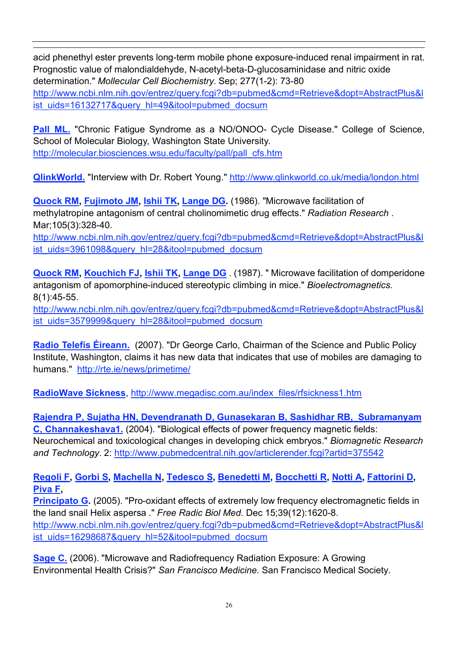$\overline{a}$ acid phenethyl ester prevents long-term mobile phone exposure-induced renal impairment in rat. Prognostic value of malondialdehyde, N-acetyl-beta-D-glucosaminidase and nitric oxide determination." *Mollecular Cell Biochemistry*. Sep; 277(1-2): 73-80 http://www.ncbi.nlm.nih.gov/entrez/query.fcgi?db=pubmed&cmd=Retrieve&dopt=AbstractPlus&l ist\_uids=16132717&query\_hl=49&itool=pubmed\_docsum

**Pall ML.** "Chronic Fatigue Syndrome as a NO/ONOO- Cycle Disease." College of Science, School of Molecular Biology, Washington State University. http://molecular.biosciences.wsu.edu/faculty/pall/pall\_cfs.htm

**QlinkWorld.** "Interview with Dr. Robert Young." http://www.qlinkworld.co.uk/media/london.html

**Quock RM, Fujimoto JM, Ishii TK, Lange DG.** (1986). "Microwave facilitation of methylatropine antagonism of central cholinomimetic drug effects." *Radiation Research* . Mar;105(3):328-40.

http://www.ncbi.nlm.nih.gov/entrez/query.fcgi?db=pubmed&cmd=Retrieve&dopt=AbstractPlus&l ist\_uids=3961098&query\_hl=28&itool=pubmed\_docsum

**Quock RM, Kouchich FJ, Ishii TK, Lange DG** . (1987). " Microwave facilitation of domperidone antagonism of apomorphine-induced stereotypic climbing in mice." *Bioelectromagnetics.* 8(1):45-55.

http://www.ncbi.nlm.nih.gov/entrez/query.fcgi?db=pubmed&cmd=Retrieve&dopt=AbstractPlus&l ist\_uids=3579999&query\_hl=28&itool=pubmed\_docsum

**Radio Telefís Éireann.** (2007). "Dr George Carlo, Chairman of the Science and Public Policy Institute, Washington, claims it has new data that indicates that use of mobiles are damaging to humans." http://rte.ie/news/primetime/

**RadioWave Sickness**, http://www.megadisc.com.au/index\_files/rfsickness1.htm

**Rajendra P, Sujatha HN, Devendranath D, Gunasekaran B, Sashidhar RB, Subramanyam C, Channakeshava1.** (2004). "Biological effects of power frequency magnetic fields: Neurochemical and toxicological changes in developing chick embryos." *Biomagnetic Research and Technology*. 2: http://www.pubmedcentral.nih.gov/articlerender.fcgi?artid=375542

**Regoli F, Gorbi S, Machella N, Tedesco S, Benedetti M, Bocchetti R, Notti A, Fattorini D, Piva F,**

**Principato G.** (2005). "Pro-oxidant effects of extremely low frequency electromagnetic fields in the land snail Helix aspersa ." *Free Radic Biol Med.* Dec 15;39(12):1620-8. http://www.ncbi.nlm.nih.gov/entrez/query.fcgi?db=pubmed&cmd=Retrieve&dopt=AbstractPlus&l ist\_uids=16298687&query\_hl=52&itool=pubmed\_docsum

**Sage C.** (2006). "Microwave and Radiofrequency Radiation Exposure: A Growing Environmental Health Crisis?" *San Francisco Medicine.* San Francisco Medical Society.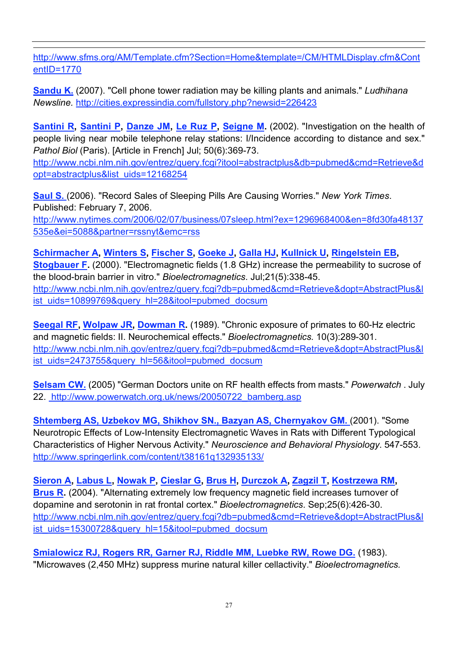$\overline{a}$ http://www.sfms.org/AM/Template.cfm?Section=Home&template=/CM/HTMLDisplay.cfm&Cont entID=1770

**Sandu K.** (2007). "Cell phone tower radiation may be killing plants and animals." *Ludhihana Newsline.* http://cities.expressindia.com/fullstory.php?newsid=226423

**Santini R, Santini P, Danze JM, Le Ruz P, Seigne M.** (2002). "Investigation on the health of people living near mobile telephone relay stations: I/Incidence according to distance and sex." *Pathol Biol* (Paris). [Article in French] Jul; 50(6):369-73.

http://www.ncbi.nlm.nih.gov/entrez/query.fcgi?itool=abstractplus&db=pubmed&cmd=Retrieve&d opt=abstractplus&list\_uids=12168254

**Saul S.** (2006). "Record Sales of Sleeping Pills Are Causing Worries." *New York Times*. Published: February 7, 2006.

http://www.nytimes.com/2006/02/07/business/07sleep.html?ex=1296968400&en=8fd30fa48137 535e&ei=5088&partner=rssnyt&emc=rss

**Schirmacher A, Winters S, Fischer S, Goeke J, Galla HJ, Kullnick U, Ringelstein EB, Stogbauer F.** (2000). "Electromagnetic fields (1.8 GHz) increase the permeability to sucrose of the blood-brain barrier in vitro." *Bioelectromagnetics*. Jul;21(5):338-45. http://www.ncbi.nlm.nih.gov/entrez/query.fcgi?db=pubmed&cmd=Retrieve&dopt=AbstractPlus&l ist\_uids=10899769&query\_hl=28&itool=pubmed\_docsum

**Seegal RF, Wolpaw JR, Dowman R.** (1989). "Chronic exposure of primates to 60-Hz electric and magnetic fields: II. Neurochemical effects." *Bioelectromagnetics.* 10(3):289-301. http://www.ncbi.nlm.nih.gov/entrez/query.fcgi?db=pubmed&cmd=Retrieve&dopt=AbstractPlus&l ist\_uids=2473755&query\_hl=56&itool=pubmed\_docsum

**Selsam CW.** (2005) "German Doctors unite on RF health effects from masts." *Powerwatch* . July 22. http://www.powerwatch.org.uk/news/20050722\_bamberg.asp

**Shtemberg AS, Uzbekov MG, Shikhov SN., Bazyan AS, Chernyakov GM.** (2001). "Some Neurotropic Effects of Low-Intensity Electromagnetic Waves in Rats with Different Typological Characteristics of Higher Nervous Activity." *Neuroscience and Behavioral Physiology*. 547-553. http://www.springerlink.com/content/t38161q132935133/

**Sieron A, Labus L, Nowak P, Cieslar G, Brus H, Durczok A, Zagzil T, Kostrzewa RM, Brus R.** (2004). "Alternating extremely low frequency magnetic field increases turnover of dopamine and serotonin in rat frontal cortex." *Bioelectromagnetics*. Sep;25(6):426-30. http://www.ncbi.nlm.nih.gov/entrez/query.fcgi?db=pubmed&cmd=Retrieve&dopt=AbstractPlus&l ist\_uids=15300728&query\_hl=15&itool=pubmed\_docsum

**Smialowicz RJ, Rogers RR, Garner RJ, Riddle MM, Luebke RW, Rowe DG.** (1983). "Microwaves (2,450 MHz) suppress murine natural killer cellactivity." *Bioelectromagnetics.*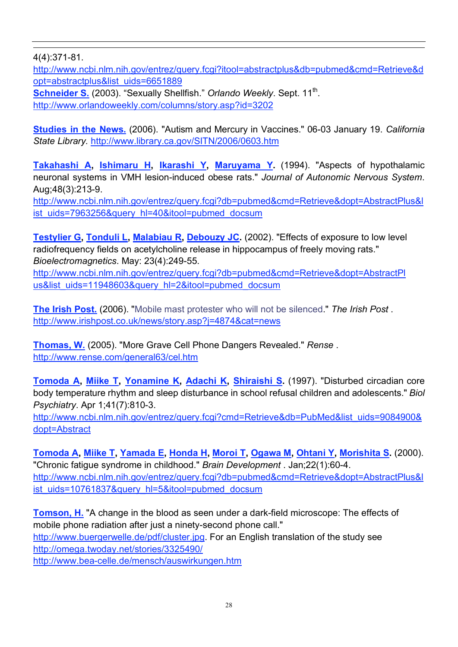$\overline{a}$ 4(4):371-81.

http://www.ncbi.nlm.nih.gov/entrez/query.fcgi?itool=abstractplus&db=pubmed&cmd=Retrieve&d opt=abstractplus&list\_uids=6651889 **Schneider S.** (2003). "Sexually Shellfish." *Orlando Weekly*. Sept. 11<sup>th</sup>. http://www.orlandoweekly.com/columns/story.asp?id=3202

**Studies in the News.** (2006). "Autism and Mercury in Vaccines." 06-03 January 19. *California State Library.* http://www.library.ca.gov/SITN/2006/0603.htm

**Takahashi A, Ishimaru H, Ikarashi Y, Maruyama Y.** (1994). "Aspects of hypothalamic neuronal systems in VMH lesion-induced obese rats." *Journal of Autonomic Nervous System*. Aug;48(3):213-9.

http://www.ncbi.nlm.nih.gov/entrez/query.fcgi?db=pubmed&cmd=Retrieve&dopt=AbstractPlus&l ist\_uids=7963256&query\_hl=40&itool=pubmed\_docsum

**Testylier G, Tonduli L, Malabiau R, Debouzy JC.** (2002). "Effects of exposure to low level radiofrequency fields on acetylcholine release in hippocampus of freely moving rats." *Bioelectromagnetics*. May: 23(4):249-55.

http://www.ncbi.nlm.nih.gov/entrez/query.fcgi?db=pubmed&cmd=Retrieve&dopt=AbstractPl us&list\_uids=11948603&query\_hl=2&itool=pubmed\_docsum

**The Irish Post.** (2006). "Mobile mast protester who will not be silenced." *The Irish Post* . http://www.irishpost.co.uk/news/story.asp?j=4874&cat=news

**Thomas, W.** (2005). "More Grave Cell Phone Dangers Revealed." *Rense* . http://www.rense.com/general63/cel.htm

**Tomoda A, Miike T, Yonamine K, Adachi K, Shiraishi S.** (1997). "Disturbed circadian core body temperature rhythm and sleep disturbance in school refusal children and adolescents." *Biol Psychiatry*. Apr 1;41(7):810-3.

http://www.ncbi.nlm.nih.gov/entrez/query.fcgi?cmd=Retrieve&db=PubMed&list\_uids=9084900& dopt=Abstract

**Tomoda A, Miike T, Yamada E, Honda H, Moroi T, Ogawa M, Ohtani Y, Morishita S.** (2000). "Chronic fatigue syndrome in childhood." *Brain Development* . Jan;22(1):60-4. http://www.ncbi.nlm.nih.gov/entrez/query.fcgi?db=pubmed&cmd=Retrieve&dopt=AbstractPlus&l ist\_uids=10761837&query\_hl=5&itool=pubmed\_docsum

**Tomson, H.** "A change in the blood as seen under a dark-field microscope: The effects of mobile phone radiation after just a ninety-second phone call." http://www.buergerwelle.de/pdf/cluster.jpg. For an English translation of the study see http://omega.twoday.net/stories/3325490/ http://www.bea-celle.de/mensch/auswirkungen.htm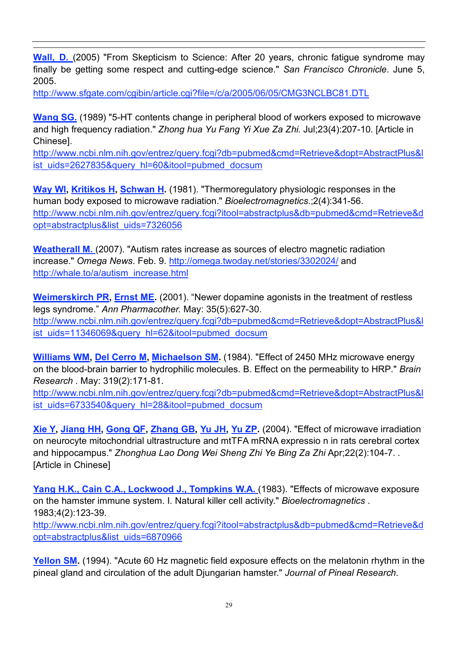$\overline{a}$ **Wall, D.** (2005) "From Skepticism to Science: After 20 years, chronic fatigue syndrome may finally be getting some respect and cutting-edge science." *San Francisco Chronicle*. June 5, 2005.

http://www.sfgate.com/cgibin/article.cgi?file=/c/a/2005/06/05/CMG3NCLBC81.DTL

**Wang SG.** (1989) "5-HT contents change in peripheral blood of workers exposed to microwave and high frequency radiation." *Zhong hua Yu Fang Yi Xue Za Zhi.* Jul;23(4):207-10. [Article in Chinese].

http://www.ncbi.nlm.nih.gov/entrez/query.fcgi?db=pubmed&cmd=Retrieve&dopt=AbstractPlus&l ist\_uids=2627835&query\_hl=60&itool=pubmed\_docsum

**Way WI, Kritikos H, Schwan H.** (1981). "Thermoregulatory physiologic responses in the human body exposed to microwave radiation." *Bioelectromagnetics*.;2(4):341-56. http://www.ncbi.nlm.nih.gov/entrez/query.fcgi?itool=abstractplus&db=pubmed&cmd=Retrieve&d opt=abstractplus&list\_uids=7326056

**Weatherall M.** (2007). "Autism rates increase as sources of electro magnetic radiation increase." *Omega News*. Feb. 9. http://omega.twoday.net/stories/3302024/ and http://whale.to/a/autism\_increase.html

**Weimerskirch PR, Ernst ME.** (2001). "Newer dopamine agonists in the treatment of restless legs syndrome." *Ann Pharmacother.* May: 35(5):627-30. http://www.ncbi.nlm.nih.gov/entrez/query.fcgi?db=pubmed&cmd=Retrieve&dopt=AbstractPlus&l ist\_uids=11346069&query\_hl=62&itool=pubmed\_docsum

**Williams WM, Del Cerro M, Michaelson SM.** (1984). "Effect of 2450 MHz microwave energy on the blood-brain barrier to hydrophilic molecules. B. Effect on the permeability to HRP." *Brain Research .* May: 319(2):171-81.

http://www.ncbi.nlm.nih.gov/entrez/query.fcgi?db=pubmed&cmd=Retrieve&dopt=AbstractPlus&l ist\_uids=6733540&query\_hl=28&itool=pubmed\_docsum

**Xie Y, Jiang HH, Gong QF, Zhang GB, Yu JH, Yu ZP.** (2004). "Effect of microwave irradiation on neurocyte mitochondrial ultrastructure and mtTFA mRNA expressio n in rats cerebral cortex and hippocampus." *Zhonghua Lao Dong Wei Sheng Zhi Ye Bing Za Zhi* Apr;22(2):104-7. *.* [Article in Chinese]

**Yang H.K., Cain C.A., Lockwood J., Tompkins W.A.** (1983). "Effects of microwave exposure on the hamster immune system. I. Natural killer cell activity." *Bioelectromagnetics* . 1983;4(2):123-39. http://www.ncbi.nlm.nih.gov/entrez/query.fcgi?itool=abstractplus&db=pubmed&cmd=Retrieve&d

opt=abstractplus&list\_uids=6870966

**Yellon SM.** (1994). "Acute 60 Hz magnetic field exposure effects on the melatonin rhythm in the pineal gland and circulation of the adult Djungarian hamster." *Journal of Pineal Research*.